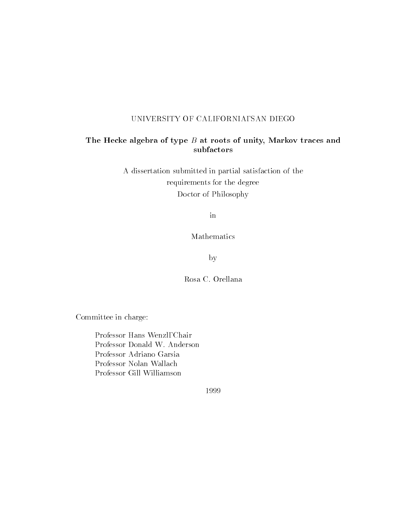### UNIVERSITY OF CALIFORNIA, SAN DIEGO

### The Hecke algebra of type  $D$  at roots of unity, Markov traces and subfactors

A dissertation submitted in partial satisfaction of the requirements for the degree Doctor of Philosophy

in

Mathematics

by

Rosa C. Orellana

Committee in charge:

Professor Hans Wenzl, Chair Professor Donald W. Anderson Professor Adriano Garsia Professor Nolan Wallach Professor Gill Williamson

1999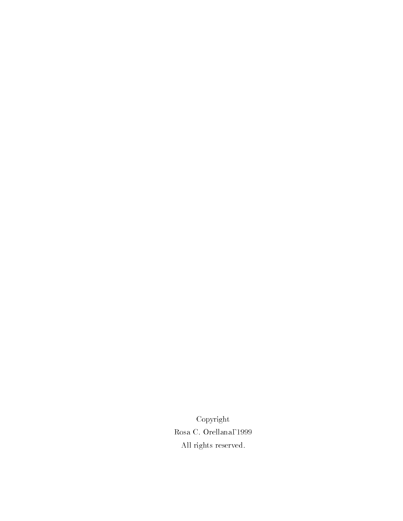Copyright Rosa C. Orellana, 1999 All rights reserved.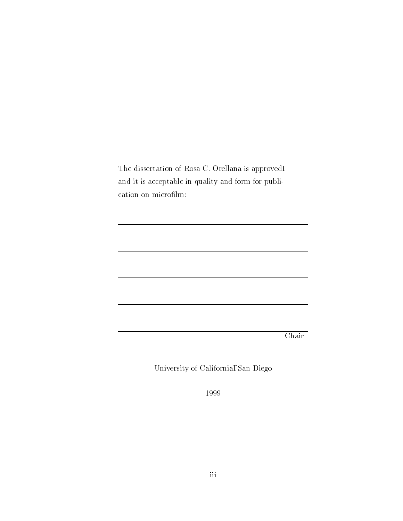The dissertation of Rosa C. Orellana is approved, and it is acceptable in quality and form for publication on microfilm:

Chair

University of California, San Diego

1999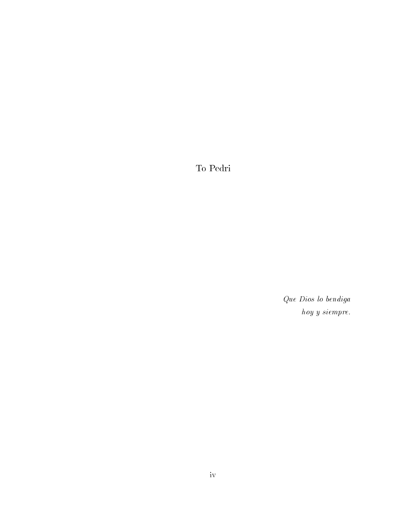To Pedri

Que Dios lo bendiga hoy y siempre.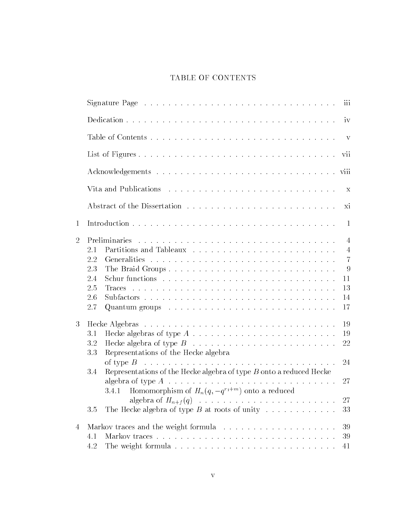## TABLE OF CONTENTS

|                | Signature Page $\ldots \ldots \ldots \ldots \ldots \ldots \ldots \ldots \ldots \ldots \ldots$<br>111                                                                                                                                                                                                                                               |  |
|----------------|----------------------------------------------------------------------------------------------------------------------------------------------------------------------------------------------------------------------------------------------------------------------------------------------------------------------------------------------------|--|
|                | 1V                                                                                                                                                                                                                                                                                                                                                 |  |
|                | V                                                                                                                                                                                                                                                                                                                                                  |  |
|                | V11                                                                                                                                                                                                                                                                                                                                                |  |
|                |                                                                                                                                                                                                                                                                                                                                                    |  |
|                | Х                                                                                                                                                                                                                                                                                                                                                  |  |
|                | $\overline{X1}$                                                                                                                                                                                                                                                                                                                                    |  |
| $\mathbf{1}$   | -1                                                                                                                                                                                                                                                                                                                                                 |  |
| $\overline{2}$ | 4<br>2.1<br>4<br>2.2<br>7<br>2.3<br>The Braid Groups<br>9<br>2.4<br>11<br>2.5<br>13<br>2.6<br>14<br>2.7<br>17                                                                                                                                                                                                                                      |  |
| 3              | -19<br>Hecke algebras of type $A \ldots \ldots \ldots \ldots \ldots \ldots \ldots \ldots$<br>3.1<br>-19<br>3.2<br>22<br>Representations of the Hecke algebra<br>3.3<br>24<br>Representations of the Hecke algebra of type $B$ onto a reduced Hecke<br>3.4<br>algebra of type $A \dots \dots \dots \dots \dots \dots \dots \dots \dots \dots$<br>27 |  |
|                | 3.4.1 Homomorphism of $H_n(q, -q^{r_1+m})$ onto a reduced<br>27<br>The Hecke algebra of type $B$ at roots of unity<br>33<br>3.5                                                                                                                                                                                                                    |  |
| 4              | 39<br>39<br>4.1<br>4.2<br>41                                                                                                                                                                                                                                                                                                                       |  |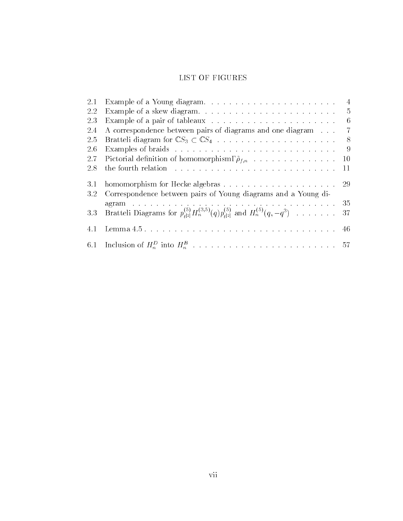## LIST OF FIGURES

| 2.1 |                                                                                  |               |
|-----|----------------------------------------------------------------------------------|---------------|
| 2.2 | Example of a skew diagram                                                        | $\frac{5}{2}$ |
| 2.3 | Example of a pair of tableaux $\ldots \ldots \ldots \ldots \ldots \ldots \ldots$ | -6            |
| 2.4 | A correspondence between pairs of diagrams and one diagram                       |               |
| 2.5 |                                                                                  | -8            |
| 2.6 |                                                                                  | - 9           |
| 2.7 | Pictorial definition of homomorphism, $\tilde{\rho}_{f,n}$                       | 10            |
| 2.8 |                                                                                  | -11           |
| 3.1 |                                                                                  |               |
| 3.2 | Correspondence between pairs of Young diagrams and a Young di-                   |               |
|     |                                                                                  |               |
| 3.3 |                                                                                  |               |
| 4.1 |                                                                                  |               |
|     |                                                                                  |               |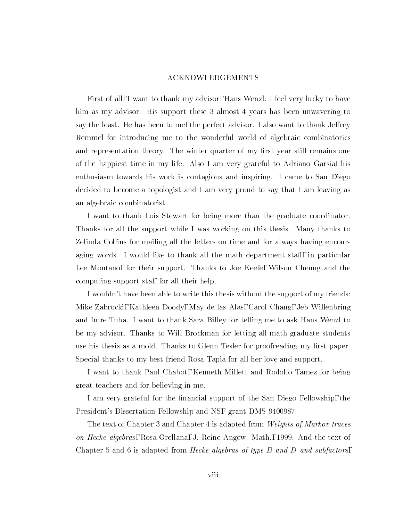### ACKNOWLEDGEMENTS

First of all, I want to thank my advisor, Hans Wenzl. I feel very lucky to have him as my advisor. His support these 3 almost 4 years has been unwavering to say the least. He has been to me, the perfect advisor. I also want to thank Jeffrey Remmel for introducing me to the wonderful world of algebraic combinatorics and representation theory. The winter quarter of my first year still remains one of the happiest time in my life. Also I am very grateful to Adriano Garsia, his enthusiasm towards his work is contagious and inspiring. I came to San Diego decided to become a topologist and I am very proud to say that I am leaving as an algebraic combinatorist.

I want to thank Lois Stewart for being more than the graduate coordinator. Thanks for all the support while I was working on this thesis. Many thanks to Zelinda Collins for mailing all the letters on time and for always having encouraging words. I would like to thank all the math department staff, in particular Lee Montano, for their support. Thanks to Joe Keefe, Wilson Cheung and the computing support staff for all their help.

I wouldn't have been able to write this thesis without the support of my friends: Mike Zabrocki, Kathleen Doody, May de las Alas, Carol Chang, Jeb Willenbring and Imre Tuba. I want to thank Sara Billey for telling me to ask Hans Wenzl to be my advisor. Thanks to Will Brockman for letting all math graduate students use his thesis as a mold. Thanks to Glenn Tesler for proofreading my first paper. Special thanks to my best friend Rosa Tapia for all her love and support.

I want to thank Paul Chabot, Kenneth Millett and Rodolfo Tamez for being great teachers and for believing in me.

I am very grateful for the financial support of the San Diego Fellowship, the President's Dissertation Fellowship and NSF grant DMS 9400987.

The text of Chapter 3 and Chapter 4 is adapted from Weights of Markov traces on Hecke algebras, Rosa Orellana, J. Reine Angew. Math., 1999. And the text of Chapter 5 and 6 is adapted from *Hecke algebras of type B and D and subfactors*,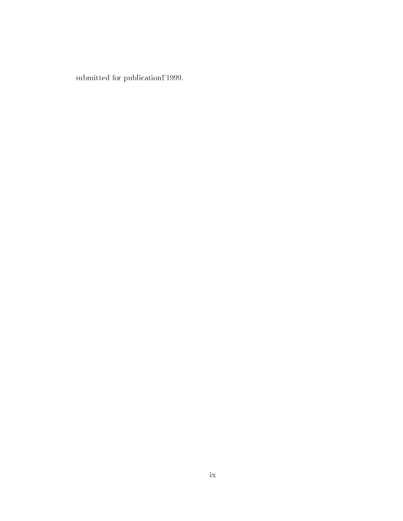submitted for publication, 1999.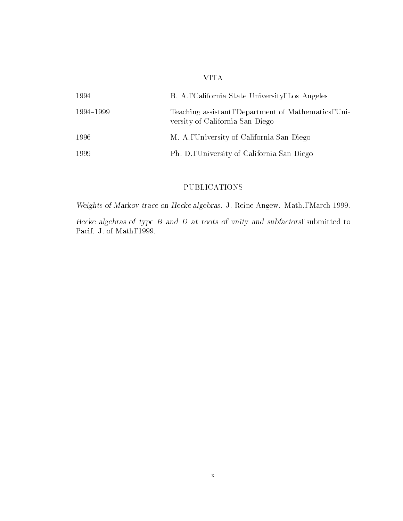### VITA

| 1994      | B. A., California State University, Los Angeles                                        |
|-----------|----------------------------------------------------------------------------------------|
| 1994–1999 | Teaching assistant, Department of Mathematics, Uni-<br>versity of California San Diego |
| 1996      | M. A., University of California San Diego                                              |
| 1999      | Ph. D., University of California San Diego                                             |

## PUBLICATIONS

Weights of Markov trace on Hecke algebras. J. Reine Angew. Math., March 1999.

Hecke algebras of type  $D$  and  $D$  at roots of unity and subfactors, submitted to Pacif. J. of Math, 1999.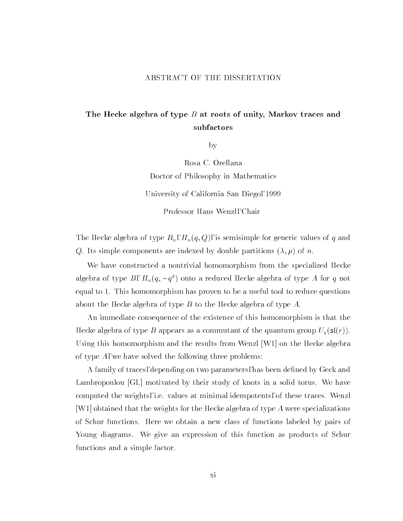### ABSTRACT OF THE DISSERTATION

## The Hecke algebra of type  $B$  at roots of unity, Markov traces and subfactors

by

Rosa C. Orellana Doctor of Philosophy in Mathematics University of California San Diego, 1999 Professor Hans Wenzl, Chair

The Hecke algebra of type  $B_n$ ,  $H_n(q, Q)$ , is semisimple for generic values of q and Q. Its simple components are indexed by double partitions  $(\lambda, \mu)$  of n.

We have constructed a nontrivial homomorphism from the specialized Hecke algebra of type  $B$ ,  $H_n(q,-q^\ast)$  onto a reduced Hecke algebra of type A for  $q$  not equal to 1. This homomorphism has proven to be a useful tool to reduce questions about the Hecke algebra of type B to the Hecke algebra of type A.

An immediate consequence of the existence of this homomorphism is that the Hecke algebra of type  $B$  appears as a commutant of the quantum group  $U_q(\mathfrak{sl}(r)).$ Using this homomorphism and the results from Wenzl [W1] on the Hecke algebra of type  $A$ , we have solved the following three problems:

A family of traces, depending on two parameters, has been defined by Geck and Lambropoulou [GL] motivated by their study of knots in a solid torus. We have computed the weights, i.e. values at minimal idempotents, of these traces. Wenzl [W1] obtained that the weights for the Hecke algebra of type A were specializations of Schur functions. Here we obtain a new class of functions labeled by pairs of Young diagrams. We give an expression of this function as products of Schur functions and a simple factor.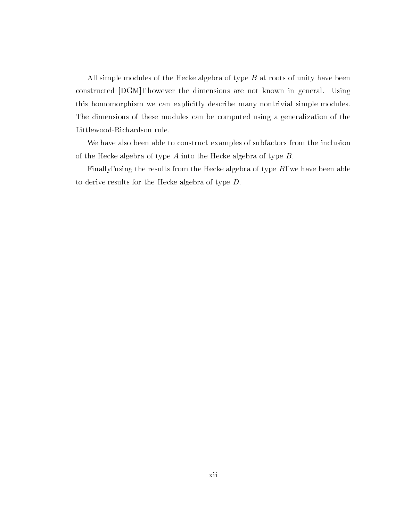All simple modules of the Hecke algebra of type  $B$  at roots of unity have been constructed [DGM], however the dimensions are not known in general. Using this homomorphism we can explicitly describe many nontrivial simple modules. The dimensions of these modules can be computed using a generalization of the Littlewood-Richardson rule.

We have also been able to construct examples of subfactors from the inclusion of the Hecke algebra of type  $A$  into the Hecke algebra of type  $B$ .

Finally, using the results from the Hecke algebra of type  $B$ , we have been able to derive results for the Hecke algebra of type D.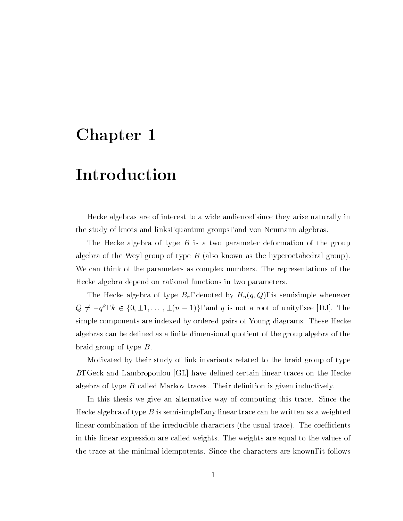# Chapter 1

# Introduction

Hecke algebras are of interest to a wide audience, since they arise naturally in the study of knots and links, quantum groups, and von Neumann algebras.

The Hecke algebra of type  $B$  is a two parameter deformation of the group algebra of the Weyl group of type  $B$  (also known as the hyperoctahedral group). We can think of the parameters as complex numbers. The representations of the Hecke algebra depend on rational functions in two parameters.

The Hecke algebra of type  $B_n$ , denoted by  $H_n(q, Q)$ , is semisimple whenever  $Q \neq -q^k$ ,  $k \in \{0, \pm 1, \ldots, \pm (n-1)\}\$ , and q is not a root of unity, see [DJ]. The simple components are indexed by ordered pairs of Young diagrams. These Hecke algebras can be defined as a finite dimensional quotient of the group algebra of the braid group of type B.

Motivated by their study of link invariants related to the braid group of type B, Geck and Lambropoulou  $|GL|$  have defined certain linear traces on the Hecke algebra of type  $B$  called Markov traces. Their definition is given inductively.

In this thesis we give an alternative way of computing this trace. Since the Hecke algebra of type  $B$  is semisimple, any linear trace can be written as a weighted linear combination of the irreducible characters (the usual trace). The coefficients in this linear expression are called weights. The weights are equal to the values of the trace at the minimal idempotents. Since the characters are known, it follows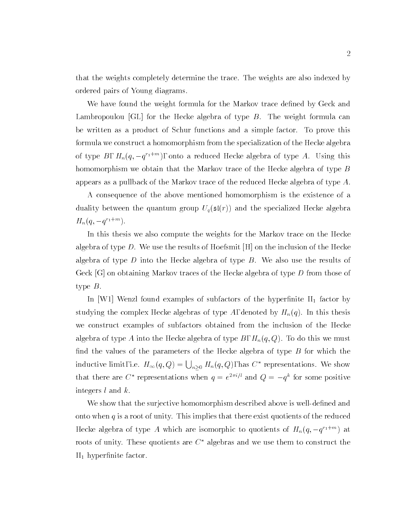that the weights completely determine the trace. The weights are also indexed by ordered pairs of Young diagrams.

We have found the weight formula for the Markov trace defined by Geck and Lambropoulou [GL] for the Hecke algebra of type B. The weight formula can be written as a product of Schur functions and a simple factor. To prove this formula we construct a homomorphism from the specialization of the Hecke algebra of type  $D$ ,  $H_n(q, -q^{n+m})$ , onto a reduced Hecke algebra of type A. Using this homomorphism we obtain that the Markov trace of the Hecke algebra of type B appears as a pullback of the Markov trace of the reduced Hecke algebra of type  $A$ .

A consequence of the above mentioned homomorphism is the existence of a duality between the quantum group  $U_q(\mathfrak{sl}(r))$  and the specialized Hecke algebra  $H_n(q, -q$  .  $\ldots$  ).

In this thesis we also compute the weights for the Markov trace on the Hecke algebra of type D. We use the results of Hoefsmit  $[H]$  on the inclusion of the Hecke algebra of type D into the Hecke algebra of type  $B$ . We also use the results of Geck  $[G]$  on obtaining Markov traces of the Hecke algebra of type D from those of type B.

In [W1] Wenzl found examples of subfactors of the hyperfinite  $II_1$  factor by studying the complex Hecke algebras of type A, denoted by  $H_n(q)$ . In this thesis we construct examples of subfactors obtained from the inclusion of the Hecke algebra of type  $A$  into the Hecke algebra of type  $B,$   $H_n(q,Q)$ . To do this we must find the values of the parameters of the Hecke algebra of type  $B$  for which the inductive limit, i.e.  $H_{\infty}(q,Q) = \bigcup_{n>0} H_n(q,Q)$ , has  $C^*$  representations. We show that there are  $\cup$  representations when  $q = e^{-i\omega}$  and  $Q = -q^2$  for some positive integers l and k.

We show that the surjective homomorphism described above is well-defined and onto when  $q$  is a root of unity. This implies that there exist quotients of the reduced Hecke algebra of type A which are isomorphic to quotients of  $H_n(q,-q^{(1+\cdots)})$  at roots of unity. These quotients are  $C^*$  algebras and we use them to construct the  $II_1$  hyperfinite factor.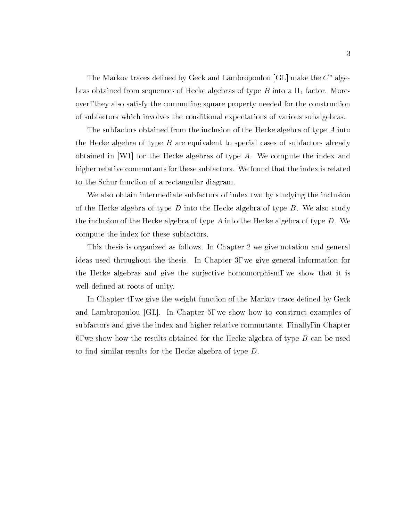The Markov traces defined by Geck and Lambropoulou  $|GL|$  make the  $C^*$  algebras obtained from sequences of Hecke algebras of type  $B$  into a  $II_1$  factor. Moreover, they also satisfy the commuting square property needed for the construction of subfactors which involves the conditional expectations of various subalgebras.

The subfactors obtained from the inclusion of the Hecke algebra of type  $A$  into the Hecke algebra of type  $B$  are equivalent to special cases of subfactors already obtained in [W1] for the Hecke algebras of type A. We compute the index and higher relative commutants for these subfactors. We found that the index is related to the Schur function of a rectangular diagram.

We also obtain intermediate subfactors of index two by studying the inclusion of the Hecke algebra of type D into the Hecke algebra of type  $B$ . We also study the inclusion of the Hecke algebra of type A into the Hecke algebra of type  $D$ . We compute the index for these subfactors.

This thesis is organized as follows. In Chapter 2 we give notation and general ideas used throughout the thesis. In Chapter 3, we give general information for the Hecke algebras and give the surjective homomorphism, we show that it is well-defined at roots of unity.

In Chapter 4, we give the weight function of the Markov trace defined by Geck and Lambropoulou [GL]. In Chapter 5, we show how to construct examples of subfactors and give the index and higher relative commutants. Finally, in Chapter 6, we show how the results obtained for the Hecke algebra of type  $B$  can be used to find similar results for the Hecke algebra of type  $D$ .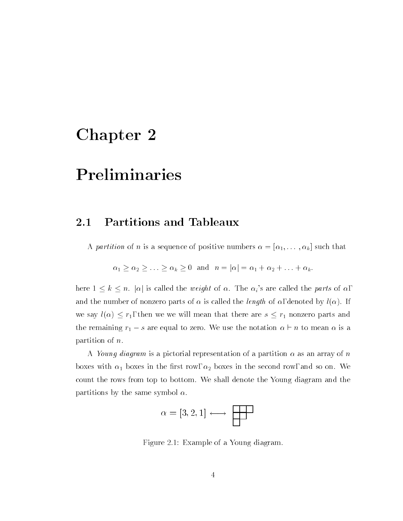# Chapter 2

# Preliminaries

#### 2.1Partitions and Tableaux

A partition of n is a sequence of positive numbers  $\alpha = [\alpha_1, \ldots, \alpha_k]$  such that

$$
\alpha_1 \geq \alpha_2 \geq \ldots \geq \alpha_k \geq 0
$$
 and  $n = |\alpha| = \alpha_1 + \alpha_2 + \ldots + \alpha_k$ .

here  $1 \leq k \leq n$ .  $|\alpha|$  is called the *weight* of  $\alpha$ . The  $\alpha_i$ 's are called the *parts* of  $\alpha$ , and the number of nonzero parts of  $\alpha$  is called the *length* of  $\alpha$ , denoted by  $l(\alpha)$ . If we say  $l(\alpha) \leq r_1$ , then we we will mean that there are  $s \leq r_1$  nonzero parts and the remaining  $r_1 - s$  are equal to zero. We use the notation  $\alpha \vdash n$  to mean  $\alpha$  is a partition of n.

A Young diagram is a pictorial representation of a partition  $\alpha$  as an array of n boxes with  $\alpha_1$  boxes in the first row,  $\alpha_2$  boxes in the second row, and so on. We count the rows from top to bottom. We shall denote the Young diagram and the partitions by the same symbol  $\alpha$ .

$$
\alpha = [3, 2, 1] \longleftrightarrow
$$

Figure 2.1: Example of a Young diagram.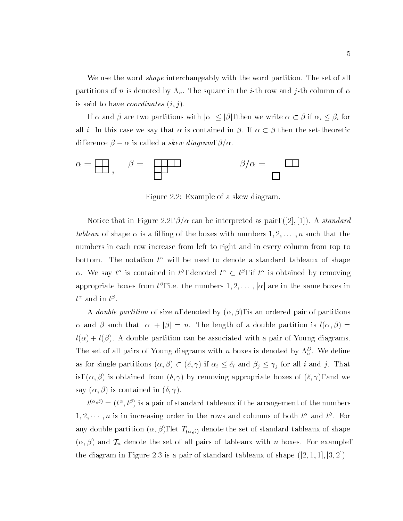We use the word *shape* interchangeably with the word partition. The set of all partitions of n is denoted by  $\Lambda_n$ . The square in the *i*-th row and *j*-th column of  $\alpha$ is said to have *coordinates*  $(i, j)$ .

If  $\alpha$  and  $\beta$  are two partitions with  $|\alpha| \leq |\beta|$ , then we write  $\alpha \subset \beta$  if  $\alpha_i \leq \beta_i$  for all i. In this case we say that  $\alpha$  is contained in  $\beta$ . If  $\alpha \subset \beta$  then the set-theoretic die eerste groot die steeds die stel die die geweste gewone van die deel van die skewe van die skew die skew d



Figure 2.2: Example of a skew diagram.

Notice that in Figure 2.2,  $\beta/\alpha$  can be interpreted as pair, ([2], [1]). A standard tableau of shape  $\alpha$  is a filling of the boxes with numbers  $1, 2, \ldots, n$  such that the numbers in each row increase from left to right and in every column from top to bottom. The notation  $t^{\alpha}$  will be used to denote a standard tableaux of shape  $\alpha$ . We say this contained in the denoted the theory in the is obtained by removing appropriate boxes from  $t^r$  , i.e. the numbers  $1, 2, \ldots, |\alpha|$  are in the same boxes in  $\iota^-$  and in  $\iota^-$  .

A *double partition* of size *n*, denoted by  $(\alpha, \beta)$ , is an ordered pair of partitions  $\alpha$  and  $\beta$  such that  $|\alpha| + |\beta| = n$ . The length of a double partition is  $l(\alpha, \beta) =$  $l(\alpha) + l(\beta)$ . A double partition can be associated with a pair of Young diagrams. The set of all pairs of Young diagrams with n boxes is denoted by  $\Lambda_n^2$ . We define as for single partitions  $(\alpha, \beta) \subset (\delta, \gamma)$  if  $\alpha_i \leq \delta_i$  and  $\beta_j \leq \gamma_j$  for all i and j. That is,  $(\alpha, \beta)$  is obtained from  $(\delta, \gamma)$  by removing appropriate boxes of  $(\delta, \gamma)$ , and we say  $(\alpha, \beta)$  is contained in  $(\delta, \gamma)$ .

 $t^{(1)} = (t^-, t^+)$  is a pair of standard tableaux if the arrangement of the numbers  $1, 2, \cdots, n$  is in increasing order in the rows and columns of both  $t^-$  and  $t^+$ . For any double partition  $(\alpha, \beta)$ , let  $T_{(\alpha, \beta)}$  denote the set of standard tableaux of shape  $(\alpha, \beta)$  and  $\mathcal{T}_n$  denote the set of all pairs of tableaux with n boxes. For example, the diagram in Figure 2.3 is a pair of standard tableaux of shape  $([2, 1, 1], [3, 2])$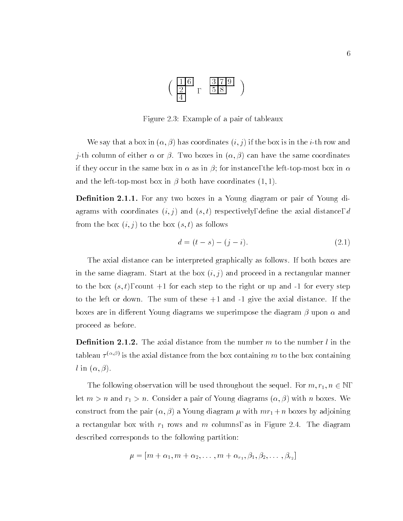

Figure 2.3: Example of a pair of tableaux

We say that a box in  $(\alpha, \beta)$  has coordinates  $(i, j)$  if the box is in the i-th row and j-th column of either  $\alpha$  or  $\beta$ . Two boxes in  $(\alpha, \beta)$  can have the same coordinates if they occur in the same box in  $\alpha$  as in  $\beta$ ; for instance, the left-top-most box in  $\alpha$ and the left-top-most box in  $\beta$  both have coordinates (1, 1).

 $D$ eniition 2.1.1. For any two boxes in a Toung diagram or pair or Toung diagrams with coordinates  $(i, j)$  and  $(s, t)$  respectively, define the axial distance, d from the box  $(i, j)$  to the box  $(s, t)$  as follows

$$
d = (t - s) - (j - i). \tag{2.1}
$$

The axial distance can be interpreted graphically as follows. If both boxes are in the same diagram. Start at the box  $(i, j)$  and proceed in a rectangular manner to the box  $(s, t)$ , count  $+1$  for each step to the right or up and  $-1$  for every step to the left or down. The sum of these +1 and -1 give the axial distance. If the boxes are in different Young diagrams we superimpose the diagram  $\beta$  upon  $\alpha$  and proceed as before.

**Demittion 2.1.2.** The axial distance from the number  $m$  to the number  $t$  in the tableau  $\tau^{<\cdots\cdots}$  is the axial distance from the box containing  $m$  to the box containing l in  $(\alpha, \beta)$ .

The following observation will be used throughout the sequel. For  $m, r_1, n \in \mathbb{N}$ , let  $m > n$  and  $r_1 > n$ . Consider a pair of Young diagrams  $(\alpha, \beta)$  with n boxes. We construct from the pair  $(\alpha, \beta)$  a Young diagram  $\mu$  with  $mr_1+n$  boxes by adjoining a rectangular box with  $r_1$  rows and m columns, as in Figure 2.4. The diagram described corresponds to the following partition:

$$
\mu = [m + \alpha_1, m + \alpha_2, \dots, m + \alpha_{r_1}, \beta_1, \beta_2, \dots, \beta_{r_2}]
$$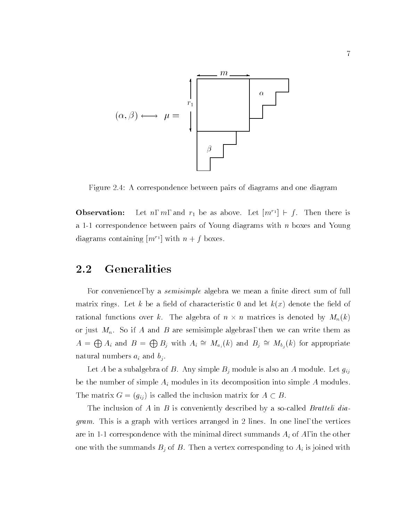

Figure 2.4: A correspondence between pairs of diagrams and one diagram

Observation:Let n, m, and  $r_1$  be as above. Let  $|m_1| \in j$ . Then there is a 1-1 correspondence between pairs of Young diagrams with  $n$  boxes and Young diagrams containing  $|m+|$  with  $n+|$  boxes.

#### 2.2Generalities

For convenience, by a *semisimple* algebra we mean a finite direct sum of full matrix rings. Let k be a field of characteristic 0 and let  $k(x)$  denote the field of rations over k. The algebra of n matrices is denoted by  $M$  -  $M$  -  $M$  -  $M$ or just  $M_n$ . So if A and B are semisimple algebras, then we can write them as  $A = \bigoplus A_i$  and  $B = \bigoplus B_j$  with  $A_i \cong M_{a_i}(k)$  and  $B_j \cong M_{b_j}(k)$  for appropriate natural numbers  $a_i$  and  $b_i$ .

Let A be a subalgebra of B. Any simple  $B_j$  module is also an A module. Let  $g_{ij}$ be the number of simple  $A_i$  modules in its decomposition into simple  $A$  modules. The matrix  $G = (g_{ij})$  is called the inclusion matrix for  $A \subset B$ .

The inclusion of A in B is conveniently described by a so-called Bratteli diagram. This is a graph with vertices arranged in 2 lines. In one line, the vertices are in 1-1 correspondence with the minimal direct summands  $A_i$  of  $A$ , in the other one with the summands  $B_j$  of B. Then a vertex corresponding to  $A_i$  is joined with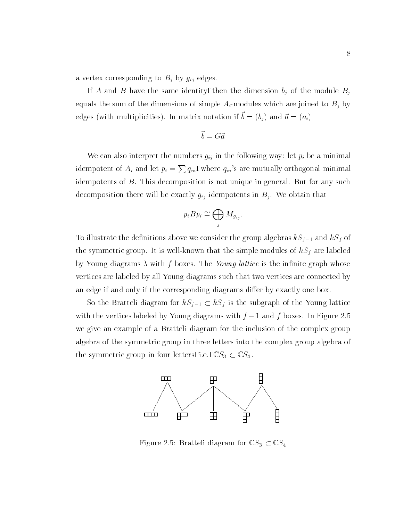a vertex corresponding to  $B_j$  by  $g_{ij}$  edges.

If A and B have the same identity, then the dimension  $b_j$  of the module  $B_j$ equals the sum of the dimensions of simple  $A_i$ -modules which are joined to  $B_j$  by edges (with multiplicities). In matrix notation if  $\theta = (\theta_1)$  and  $\theta = (\theta_1)$ 

$$
\vec{b} = G\vec{a}
$$

We can also interpret the numbers  $g_{ij}$  in the following way: let  $p_i$  be a minimal idempotent of  $A_i$  and let  $p_i = \sum q_m$ , where  $q_m$ 's are mutually orthogonal minimal idempotents of  $B$ . This decomposition is not unique in general. But for any such decomposition there will be exactly  $g_{ij}$  idempotents in  $B_j$ . We obtain that

$$
p_i B p_i \cong \bigoplus_j M_{g_{ij}}.
$$

To illustrate the definitions above we consider the group algebras  $kS_{f-1}$  and  $kS_{f}$  of the symmetric group. It is well-known that the simple modules of  $kS_f$  are labeled by Young diagrams  $\lambda$  with f boxes. The Young lattice is the infinite graph whose vertices are labeled by all Young diagrams such that two vertices are connected by an edge if and only if the corresponding diagrams differ by exactly one box.

So the Bratteli diagram for  $kS_{f-1} \subset kS_f$  is the subgraph of the Young lattice with the vertices labeled by Young diagrams with  $f - 1$  and f boxes. In Figure 2.5 we give an example of a Bratteli diagram for the inclusion of the complex group algebra of the symmetric group in three letters into the complex group algebra of the symmetric group in four letters, i.e.,  $\mathbb{C}S_3 \subset \mathbb{C}S_4$ .



Figure 2.5: Bratteli diagram for  $\mathbb{C}S_3 \subset \mathbb{C}S_4$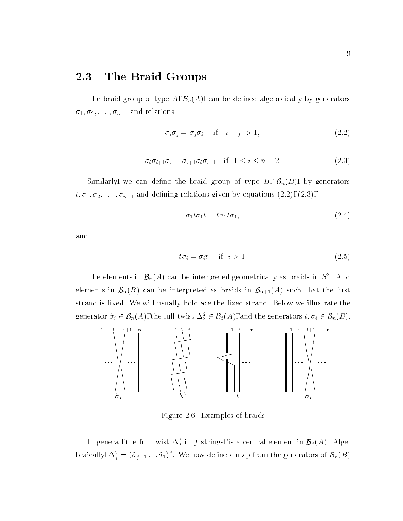The braid group of type A,  $\mathcal{B}_n(A)$ , can be defined algebraically by generators  $\tilde{\sigma}_1, \tilde{\sigma}_2, \ldots, \tilde{\sigma}_{n-1}$  and relations

$$
\tilde{\sigma}_i \tilde{\sigma}_j = \tilde{\sigma}_j \tilde{\sigma}_i \quad \text{if} \quad |i - j| > 1,\tag{2.2}
$$

$$
\tilde{\sigma}_i \tilde{\sigma}_{i+1} \tilde{\sigma}_i = \tilde{\sigma}_{i+1} \tilde{\sigma}_i \tilde{\sigma}_{i+1} \quad \text{if } 1 \le i \le n-2. \tag{2.3}
$$

Similarly, we can define the braid group of type  $B, B_n(B)$ , by generators  $t, \sigma_1, \sigma_2, \ldots, \sigma_{n-1}$  and defining relations given by equations (2.2), (2.3),

$$
\sigma_1 t \sigma_1 t = t \sigma_1 t \sigma_1,\tag{2.4}
$$

and

$$
t\sigma_i = \sigma_i t \quad \text{if} \quad i > 1. \tag{2.5}
$$

The elements in  $\mathcal{D}_n(A)$  can be interpreted geometrically as braids in  $S^1$ . And elements in  $\mathcal{B}_n(B)$  can be interpreted as braids in  $\mathcal{B}_{n+1}(A)$  such that the first strand is fixed. We will usually boldface the fixed strand. Below we illustrate the generator  $\sigma_i \in B_n(A)$ , the full-twist  $\Delta_3^- \in B_3(A)$ , and the generators  $i, \sigma_i \in B_n(B)$ .



Figure 2.6: Examples of braids

In general, the full-twist  $\Delta_f^2$  in f strings, is a central element in  $\mathcal{D}_f(A)$ . Algebraically,  $\Delta_f^2 = (\sigma_{f-1} \dots \sigma_1)^2$ . We now define a map from the generators of  $D_n(D)$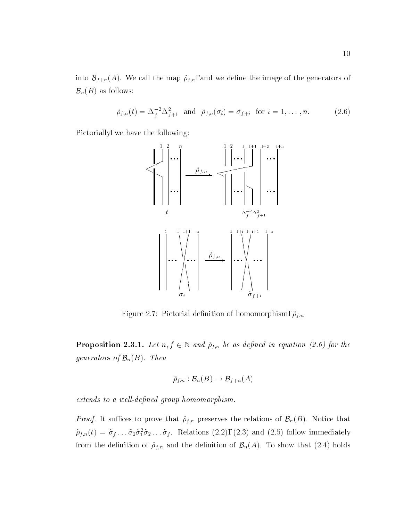into Bf natural the map  $\mathbf{u} = \mathbf{u} + \mathbf{u}$  ; and we denote the generators of the generators of the generators of the generators of the generators of the generators of the generators of the generators of the generators  $\mathcal{B}_n(B)$  as follows:

$$
\tilde{\rho}_{f,n}(t) = \Delta_f^{-2} \Delta_{f+1}^2 \quad \text{and} \quad \tilde{\rho}_{f,n}(\sigma_i) = \tilde{\sigma}_{f+i} \quad \text{for } i = 1, \dots, n. \tag{2.6}
$$

Pictorially, we have the following:



Figure 2.7: Pictorial definition of homomorphism,  $\tilde{\rho}_{f,n}$ 

**1 roposition 2.3.1.** Let  $n, j \in \mathbb{N}$  and  $p_{f,n}$  be as defined in equation (2.6) for the generators of  $\mathcal{B}_n(B)$ . Then

$$
\widetilde{\rho}_{f, n} : {\mathcal B}_n(B) \to {\mathcal B}_{f + n}(A)
$$

extends to a well-defined group homomorphism.

*Proof.* It suffices to prove that  $\tilde{\rho}_{f,n}$  preserves the relations of  $\mathcal{B}_n(B)$ . Notice that  $\rho_{f,n}(t)={\sigma}_f \ldots {\sigma}_2 {\sigma}_1 {\sigma}_2 \ldots {\sigma}_f$ . Relations (2.2), (2.3) and (2.5) follow immediately from the definition of  $\tilde{\rho}_{f,n}$  and the definition of  $\mathcal{B}_n(A)$ . To show that (2.4) holds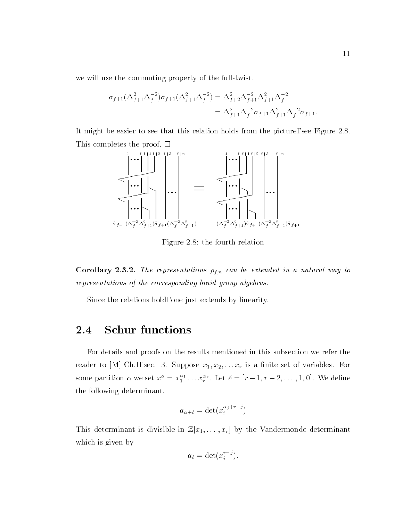we will use the commuting property of the full-twist.

$$
\sigma_{f+1}(\Delta_{f+1}^2 \Delta_f^{-2}) \sigma_{f+1}(\Delta_{f+1}^2 \Delta_f^{-2}) = \Delta_{f+2}^2 \Delta_{f+1}^{-2} \Delta_{f+1}^2 \Delta_f^{-2}
$$
  
=  $\Delta_{f+1}^2 \Delta_f^{-2} \sigma_{f+1} \Delta_{f+1}^2 \Delta_f^{-2} \sigma_{f+1}.$ 

It might be easier to see that this relation holds from the picture, see Figure 2.8. This completes the proof.  $\square$ 



Figure 2.8: the fourth relation

Corollary 2.3.2. The representations  $\rho_{f,n}$  can be extended in a natural way to representations of the corresponding braid group algebras.

Since the relations hold, one just extends by linearity.

#### 2.4Schur functions

For details and proofs on the results mentioned in this subsection we refer the reader to [M] Ch.I, sec. 3. Suppose  $x_1, x_2, \ldots x_r$  is a finite set of variables. For some partition  $\alpha$  we set  $x^{\alpha} = x_1^{\alpha_1} \ldots x_r^{\alpha_r}$ . Let  $\delta = [r-1, r-2, \ldots, 1, 0]$ . We define the following determinant.

$$
a_{\alpha+\delta} = \det(x_i^{\alpha_j+r-j})
$$

This determinant is divisible in  $\mathbb{Z}[x_1,\ldots,x_r]$  by the Vandermonde determinant which is given by

$$
a_{\delta} = \det(x_i^{r-j}).
$$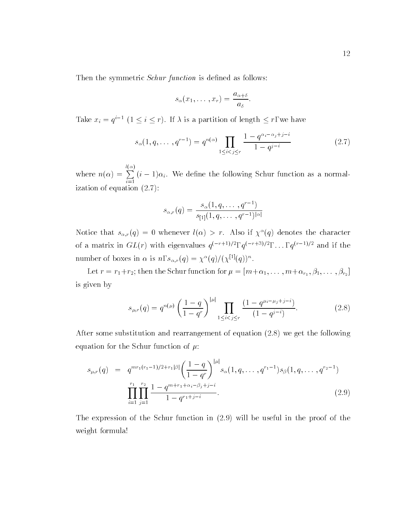Then the symmetric *Schur function* is defined as follows:

$$
s_{\alpha}(x_1,\ldots,x_r)=\frac{a_{\alpha+\delta}}{a_{\delta}}.
$$

Take  $x_i = q$   $\in$   $(1 \leq i \leq r)$ . If  $\lambda$  is a partition of length  $\leq r$ , we have

$$
s_{\alpha}(1, q, \dots, q^{r-1}) = q^{n(\alpha)} \prod_{1 \le i < j \le r} \frac{1 - q^{\alpha_i - \alpha_j + j - i}}{1 - q^{j - i}} \tag{2.7}
$$

where  $\alpha$  is a set of  $\alpha$  is a set of  $\alpha$ la provincia de la provincia de la provincia de la provincia de la provincia de la provincia de la provincia d<br>Por el provincia de la provincia de la provincia de la provincia de la provincia de la provincia de la provinc  $\{i\}$  is a second the following scheme the following  $\{i\}$ ization of equation (2.7):

$$
s_{\alpha,r}(q) = \frac{s_{\alpha}(1, q, \dots, q^{r-1})}{s_{[1]}(1, q, \dots, q^{r-1})^{|\alpha|}}
$$

Notice that  $s_{\alpha,r}(q) = 0$  whenever  $\iota(\alpha) > r$ . Also if  $\chi^-(q)$  denotes the character of a matrix in  $GL(r)$  with eigenvalues  $q^{(r+1)/2}$ ,  $q^{(r+2)/2}$ ,  $\ldots$ ,  $q^{(r+2)/2}$  and if the number of boxes in  $\alpha$  is  $n, s_{\alpha,r}(q) = \chi^-(q)/(\chi^{(1)}(q))$ .

. [17] ( 1997 - 1997 - 1997 - 1998 - 1998 - 1998 - 1998 - 1999 - 1999 - 1999 - 1999 - 1999 - 1999 - 1999 - 199 is given by

$$
s_{\mu,r}(q) = q^{n(\mu)} \left(\frac{1-q}{1-q^r}\right)^{|\mu|} \prod_{1 \le i < j \le r} \frac{\left(1-q^{\mu_i - \mu_j + j - i}\right)}{\left(1-q^{j-i}\right)}.\tag{2.8}
$$

After some substitution and rearrangement of equation (2.8) we get the following equation for the Schur function of  $\mu$ .

$$
s_{\mu,r}(q) = q^{mr_1(r_1-1)/2+r_1|\beta|} \left(\frac{1-q}{1-q^r}\right)^{|\mu|} s_{\alpha}(1,q,\ldots,q^{r_1-1}) s_{\beta}(1,q,\ldots,q^{r_2-1})
$$

$$
\prod_{i=1}^{r_1} \prod_{j=1}^{r_2} \frac{1-q^{m+r_1+\alpha_i-\beta_j+j-i}}{1-q^{r_1+j-i}}.
$$
(2.9)

The expression of the Schur function in (2.9) will be useful in the proof of the weight formula!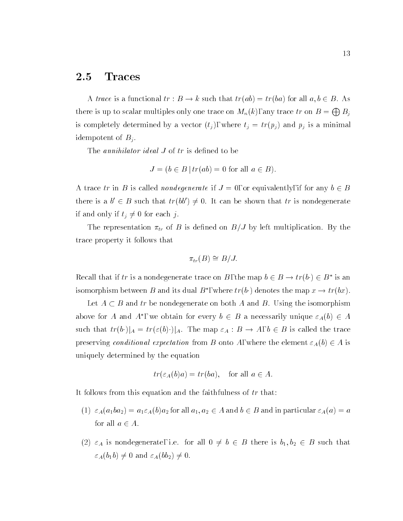#### 2.5**Traces**

A trace is a functional  $tr : B \to k$  such that  $tr(ab) = tr(ba)$  for all  $a, b \in B$ . As there is up to scalar multiples only one trace on  $M_n(k)$ , any trace  $tr$  on  $B = \bigoplus B_i$ is completely determined by a vector  $(t_j)$ , where  $t_j = tr(p_j)$  and  $p_j$  is a minimal idempotent of  $B_i$ .

The annihilator ideal  $J$  of  $tr$  is defined to be

$$
J = (b \in B \mid tr(ab) = 0 \text{ for all } a \in B).
$$

A trace tr in B is called *nondegenerate* if  $J = 0$ , or equivalently, if for any  $b \in B$ there is a  $\theta \in D$  such that  $tr(\theta \theta) \neq 0$ . It can be shown that  $tr$  is nondegenerate if and only if  $t_j \neq 0$  for each j.

The representation  $\pi_{tr}$  of B is defined on  $B/J$  by left multiplication. By the trace property it follows that

$$
\pi_{tr}(B) \cong B/J.
$$

Recall that if  $tr$  is a nondegenerate trace on  $D$ , the map  $\theta \in D \to tr(\theta) \in D$  is an isomorphism between  $B$  and its dual  $B$  , where  $tr(\theta)$  denotes the map  $x \to tr(\theta x)$ .

Let A <sup>B</sup> and tr be nondegenerate on both <sup>A</sup> and B. Using the isomorphism above for A and A, we obtain for every  $b \in B$  a necessarily unique  $\varepsilon_A(b) \in A$ such that  $tr(b\cdot)|_A = tr(\varepsilon(b)\cdot)|_A$ . The map  $\varepsilon_A : B \to A, b \in B$  is called the trace preserving conditional expectation from B onto A, where the element  $\varepsilon_A(b) \in A$  is uniquely determined by the equation

$$
tr(\varepsilon_A(b)a) = tr(ba)
$$
, for all  $a \in A$ .

It follows from this equation and the faithfulness of  $tr$  that:

- (1)  $\varepsilon_A(a_1ba_2) = a_1\varepsilon_A(b)a_2$  for all  $a_1, a_2 \in A$  and  $b \in B$  and in particular  $\varepsilon_A(a) = a$ for all  $a \in A$ .
- (2)  $\varepsilon_A$  is nondegenerate, i.e. for all  $0 \neq b \in B$  there is  $b_1, b_2 \in B$  such that  $\varepsilon_A(b_1b) \neq 0$  and  $\varepsilon_A(bb_2) \neq 0$ .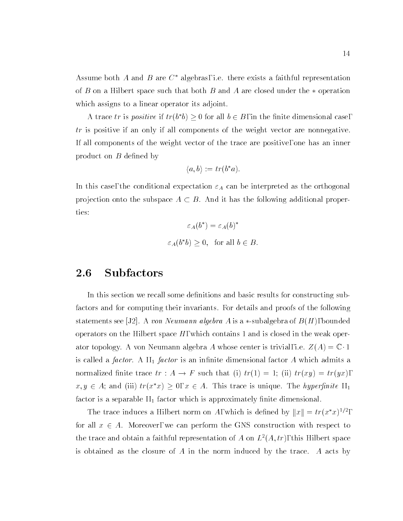Assume both A and B are  $C^*$  algebras, i.e. there exists a faithful representation of B on a Hilbert space such that both B and A are closed under the  $*$  operation which assigns to a linear operator its adjoint.

A trace in is *positive* if tr(b b)  $\geq$  0 for all  $b \in D$ , in the limite dimensional case, tr is positive if an only if all components of the weight vector are nonnegative. If all components of the weight vector of the trace are positive, one has an inner product on  $B$  defined by

$$
\langle a, b \rangle := tr(b^*a).
$$

In this case, the conditional expectation  $\varepsilon_A$  can be interpreted as the orthogonal projection onto the subspace  $A \subset B$ . And it has the following additional properties:

$$
\varepsilon_A(b^*) = \varepsilon_A(b)^*
$$
  

$$
\varepsilon_A(b^*b) \ge 0, \text{ for all } b \in B.
$$

#### 2.6Subfactors

In this section we recall some definitions and basic results for constructing subfactors and for computing their invariants. For details and proofs of the following statements see [J2]. A *von Neumann algebra A* is a \*-subalgebra of  $B(H)$ , bounded operators on the Hilbert space  $H$ , which contains 1 and is closed in the weak operator topology. A von Neumann algebra A whose center is trivial, i.e.  $Z(A) = \mathbb{C} \cdot 1$ is called a *factor*. A  $II_1$  *factor* is an infinite dimensional factor A which admits a normalized finite trace  $tr : A \to F$  such that (i)  $tr(1) = 1$ ; (ii)  $tr(xy) = tr(yx)$ ,  $x, y \in A$ ; and (iii)  $tr(x^*x) \geq 0, x \in A$ . This trace is unique. The *hyperfinite*  $H_1$ factor is a separable  $II_1$  factor which is approximately finite dimensional.

The trace induces a Hilbert norm on A, which is defined by  $||x|| = tr(x|x)^{1/2}$ , for all  $x \in A$ . Moreover, we can perform the GNS construction with respect to the trace and obtain a faithful representation of A on  $L^2(A, tr)$ , this Hilbert space is obtained as the closure of  $A$  in the norm induced by the trace.  $A$  acts by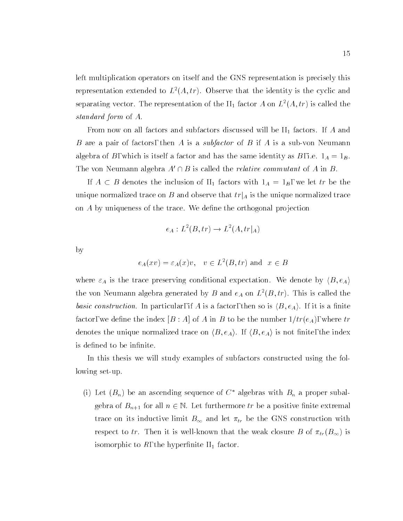left multiplication operators on itself and the GNS representation is precisely this representation extended to  $L^2(A, tr)$ . Observe that the identity is the cyclic and separating vector. The representation of the  $\text{II}_1$  factor  $A$  on  $L^2(A, tr)$  is called the standard form of A.

From now on all factors and subfactors discussed will be  $II<sub>1</sub>$  factors. If A and B are a pair of factors, then A is a subfactor of B if A is a sub-von Neumann algebra of B, which is itself a factor and has the same identity as B, i.e.  $1_A = 1_B$ . The von Neumann algebra  $A' \cap B$  is called the *relative commutant* of A in B.

If A  $\geq$  - and including the inclusion of II1 factors with  $\tau_A$  and  $\tau_B$ , we let the the the theory unique normalized trace on B and observe that  $tr|_A$  is the unique normalized trace on  $A$  by uniqueness of the trace. We define the orthogonal projection

$$
e_A: L^2(B, tr) \to L^2(A, tr|_A)
$$

by

$$
e_A(xv) = \varepsilon_A(x)v, \quad v \in L^2(B, tr) \text{ and } x \in B
$$

where  $\varepsilon_A$  is the trace preserving conditional expectation. We denote by  $\langle B, e_A \rangle$ the von Neumann algebra generated by B and  $e_A$  on  $L^2(B, tr)$ . This is called the basic construction. In particular, if A is a factor, then so is  $\langle B, e_A \rangle$ . If it is a finite factor, we define the index  $[B : A]$  of A in B to be the number  $1/tr(e_A)$ , where tr denotes the unique normalized trace on  $\langle B, e_A \rangle$ . If  $\langle B, e_A \rangle$  is not finite, the index is defined to be infinite.

In this thesis we will study examples of subfactors constructed using the following set-up.

(i) Let  $(B_n)$  be an ascending sequence of  $C^*$  algebras with  $B_n$  a proper subalgebra of  $B_{n+1}$  for all  $n \in \mathbb{N}$ . Let furthermore tr be a positive finite extremal trace on its inductive limit  $B_{\infty}$  and let  $\pi_{tr}$  be the GNS construction with respect to tr. Then it is well-known that the weak closure B of  $\pi_{tr}(B_{\infty})$  is isomorphic to  $R$ , the hyperfinite  $\text{II}_1$  factor.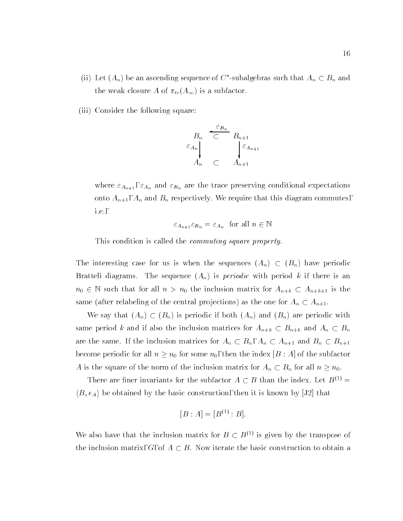- (ii) Let  $(A_n)$  be an ascending sequence of  $C$  -subalgebras such that  $A_n \subset D_n$  and the weak closure A of  $\pi_{tr}(A_{\infty})$  is a subfactor.
- (iii) Consider the following square:

$$
\begin{array}{ccc}\n B_n & \overleftarrow{\subset} & B_{n+1} \\
\varepsilon_{A_n} & & \varepsilon_{A_{n+1}} \\
A_n & \subset & A_{n+1}\n \end{array}
$$

where  $\varepsilon_{A_{n+1}}$ ,  $\varepsilon_{A_n}$  and  $\varepsilon_{B_n}$  are the trace preserving conditional expectations onto  $A_{n+1}$ ,  $A_n$  and  $B_n$  respectively. We require that this diagram commutes, i.e.,

$$
\varepsilon_{A_{n+1}} \varepsilon_{B_n} = \varepsilon_{A_n}
$$
 for all  $n \in \mathbb{N}$ 

This condition is called the commuting square property.

The interesting case for us is when the sequences  $(A_n) \subset (B_n)$  have periodic Bratteli diagrams. The sequence  $(A_n)$  is *periodic* with period k if there is an  $n_0 \in \mathbb{N}$  such that for all  $n>n_0$  the inclusion matrix for  $A_{n+k} \subset A_{n+k+1}$  is the same (after relabeling of the central projections) as the one for  $A_n \subset A_{n+1}.$ 

We say that  $(A_n) \subset (B_n)$  is periodic if both  $(A_n)$  and  $(B_n)$  are periodic with same period  $k$  and if also the inclusion matrices for  $A_{n+k}\, \subset\, B_{n+k}$  and  $A_n\, \subset\, B_n$ are the same. If the inclusion matrices for  $A_n \subset B_n$ ,  $A_n \subset A_{n+1}$  and  $B_n \subset B_{n+1}$ become periodic for all  $n \geq n_0$  for some  $n_0$ , then the index [B : A] of the subfactor A is the square of the norm of the inclusion matrix for  $A_n \subset B_n$  for all  $n \geq n_0$ .

There are finer invariants for the subfactor  $A \subset B$  than the index. Let  $B^{(1)} =$  $\langle B, e_A \rangle$  be obtained by the basic construction, then it is known by [J2] that

$$
[B : A] = [B^{(1)} : B].
$$

We also have that the inclusion matrix for  $B \subset B^{(1)}$  is given by the transpose of the inclusion matrix, G, of  $A \subset B$ . Now iterate the basic construction to obtain a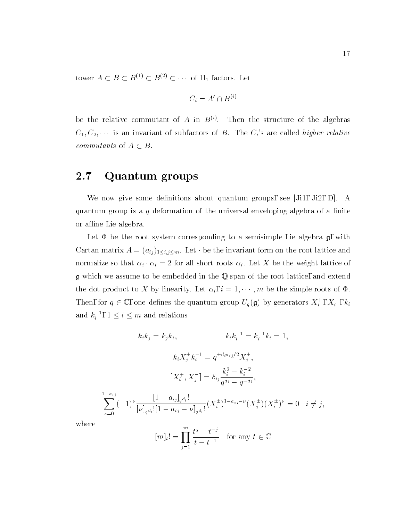tower  $A \subseteq B \subseteq B^{(2)} \subseteq B^{(3)} \subseteq \cdots$  of  $\Pi_1$  factors. Let

$$
C_i = A' \cap B^{(i)}
$$

be the relative commutant of  $A$  in  $B^{(1)}$ . Then the structure of the algebras  $C_1, C_2, \cdots$  is an invariant of subfactors of B. The  $C_i$ 's are called *higher relative* commutation of A  $\mathbb{R}$  and A  $\mathbb{R}$  and A  $\mathbb{R}$  and A  $\mathbb{R}$  and A  $\mathbb{R}$ 

#### 2.7Quantum groups

We now give some definitions about quantum groups, see  $[Ji1, Ji2, D]$ . A quantum group is a q deformation of the universal enveloping algebra of a finite or affine Lie algebra.

Let  $\Phi$  be the root system corresponding to a semisimple Lie algebra  $\mathfrak{g}$ , with Cartan matrix  $A = (a_{ij})_{1 \le i,j \le m}$ . Let  $\cdot$  be the invariant form on the root lattice and normalize so that  $\alpha_i \cdot \alpha_i = 2$  for all short roots  $\alpha_i$ . Let X be the weight lattice of g which we assume to be embedded in the Q-span of the root lattice, and extend the dot product to X by linearity. Let  $\alpha_i$ ,  $i = 1, \dots, m$  be the simple roots of  $\Phi$ . Then, for  $q \in \mathbb{C}$ , one defines the quantum group  $U_q(\mathfrak{g})$  by generators  $X_i^{\perp}, X_i^{\perp}, k_i^{\perp}$ and  $k_i^-$ ,  $1 \leq i \leq m$  and relations

$$
k_{i}k_{j} = k_{j}k_{i}, \qquad k_{i}k_{i}^{-1} = k_{i}^{-1}k_{i} = 1,
$$
  

$$
k_{i}X_{j}^{\pm}k_{i}^{-1} = q^{\pm d_{i}a_{ij}/2}X_{j}^{\pm},
$$
  

$$
[X_{i}^{+}, X_{j}^{-}] = \delta_{ij}\frac{k_{i}^{2} - k_{i}^{-2}}{q^{d_{i}} - q^{-d_{i}}},
$$
  

$$
\sum_{\nu=0}^{1-a_{ij}} (-1)^{\nu}\frac{[1-a_{ij}]_{q}a_{i}!}{[\nu]_{q}a_{i}![1-a_{ij} - \nu]_{q}a_{i}!}(X_{i}^{\pm})^{1-a_{ij} - \nu}(X_{j}^{\pm})(X_{i}^{\pm})^{\nu} = 0 \quad i \neq j,
$$

where

$$
[m]_t! = \prod_{j=1}^m \frac{t^j - t^{-j}}{t - t^{-1}} \quad \text{for any } t \in \mathbb{C}
$$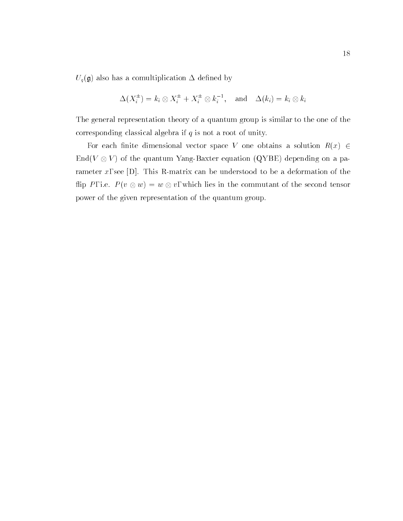$U_q(\mathfrak{g})$  also has a comultiplication  $\Delta$  defined by

$$
\Delta(X_i^{\pm}) = k_i \otimes X_i^{\pm} + X_i^{\pm} \otimes k_i^{-1}, \text{ and } \Delta(k_i) = k_i \otimes k_i
$$

The general representation theory of a quantum group is similar to the one of the corresponding classical algebra if  $q$  is not a root of unity.

For each finite dimensional vector space V one obtains a solution  $R(x) \in$ End(V V ) of the quantum Yang-Baxter equation (QYBE) depending on a parameter x, see [D]. This R-matrix can be understood to be a deformation of the ip P , i.e. P (v ) which lies in the second tensor in the second tensor in the second tensor in the second te power of the given representation of the quantum group.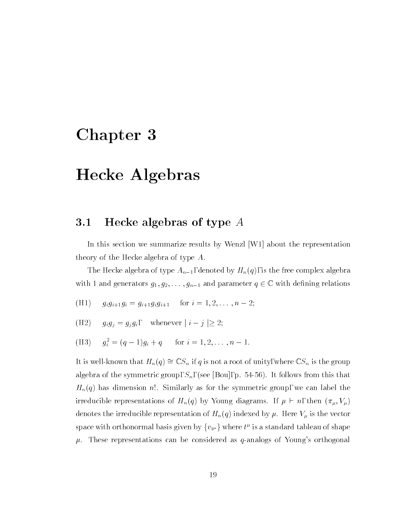# Chapter 3

# Hecke Algebras

#### 3.1Hecke algebras of type A

In this section we summarize results by Wenzl [W1] about the representation theory of the Hecke algebra of type A.

The Hecke algebra of type  $A_{n-1}$ , denoted by  $H_n(q)$ , is the free complex algebra with 1 and generators  $g_1, g_2, \ldots, g_{n-1}$  and parameter  $q \in \mathbb{C}$  with defining relations

- (H1)  $g_i g_{i+1} g_i = g_{i+1} g_i g_{i+1}$  for  $i = 1, 2, \ldots, n-2;$
- (H2)  $g_i g_j = g_j g_i$ , whenever  $|i j| \geq 2$ ;
- $\mathfrak{g}_i = (q-1)g_i + q$  for  $i = 1, 2, \ldots, n-1$ .

It is well-known that  $H_n(q) \cong \mathbb{C}S_n$  if q is not a root of unity, where  $\mathbb{C}S_n$  is the group algebra of the symmetric group,  $S_n$ , (see [Bou], p. 54-56). It follows from this that  $H_n(q)$  has dimension n!. Similarly as for the symmetric group, we can label the irreducible representations of  $H_n(q)$  by Young diagrams. If  $\mu \vdash n$ , then  $(\pi_{\mu}, V_{\mu})$ denotes the irreducible representation of  $H_n(q)$  indexed by  $\mu$  . Here  $V_\mu$  is the vector space with orthonormal basis given by  $\{v_{t^\mu}\}$  where  $\iota$  is a standard tableau of shape  $\tau$  $\mu$ . These representations can be considered as q-analogs of Young's orthogonal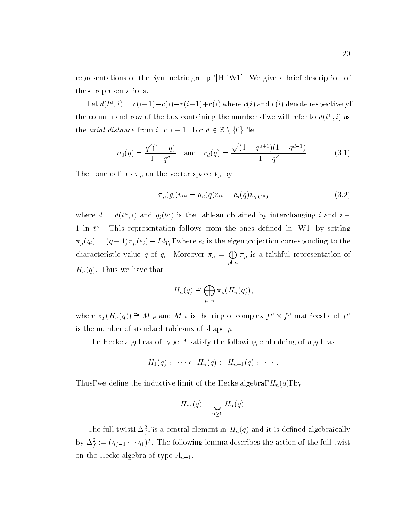representations of the Symmetric group, [H, W1]. We give a brief description of these representations.

Let  $a(v^*, i) = c(i+1)-c(i)-r(i+1)+r(i)$  where  $c(i)$  and  $r(i)$  denote respectively, the column and row of the box containing the number  $i$ , we will refer to  $a(t^-, i)$  as the *axial distance* from *i* to  $i + 1$ . For  $d \in \mathbb{Z} \setminus \{0\}$ , let

$$
a_d(q) = \frac{q^d(1-q)}{1-q^d} \quad \text{and} \quad c_d(q) = \frac{\sqrt{(1-q^{d+1})(1-q^{d-1})}}{1-q^d}.
$$
 (3.1)

Then one defines  $\pi_{\mu}$  on the vector space  $V_{\mu}$  by

$$
\pi_{\mu}(g_i)v_{t^{\mu}} = a_d(q)v_{t^{\mu}} + c_d(q)v_{g_i(t^{\mu})}
$$
\n(3.2)

where  $a = a(v, v)$  and  $g_i(v)$  is the tableau obtained by interchanging i and  $i +$  $1$  in  $t^r$ . This representation follows from the ones defined in [W1] by setting  $\pi_{\mu}(g_i)=(q + 1)\pi_{\mu}(e_i) - Id_{V_{\mu}}$ , where  $e_i$  is the eigenprojection corresponding to the characteristic value q of  $g_i$ . Moreover  $\pi_n = \bigoplus \pi_{\mu}$  is a  $\sum_{\mu \vdash n}$  is a faithful representation of  $H_n(q)$ . Thus we have that

$$
H_n(q) \cong \bigoplus_{\mu \vdash n} \pi_{\mu}(H_n(q)),
$$

where  $\pi_{\mu}(H_n(q)) = M_f \mu$  and  $M_f \mu$  is the ring of complex  $f \times f$  matrices, and  $f$ is the number of standard tableaux of shape  $\mu$ .

The Hecke algebras of type A satisfy the following embedding of algebras

$$
H_1(q) \subset \cdots \subset H_n(q) \subset H_{n+1}(q) \subset \cdots.
$$

Thus, we define the inductive limit of the Hecke algebra,  $H_n(q)$ , by

$$
H_{\infty}(q) = \bigcup_{n \geq 0} H_n(q).
$$

The full-twist,  $\Delta_{f}$ , is a central element in  $H_n(q)$  and it is defined algebraically by  $\Delta_f^{\bullet} := (g_{f-1} \cdots g_1)^s$  . The following lemma describes the action of the full-twist on the Hecke algebra of type  $A_{n-1}$ .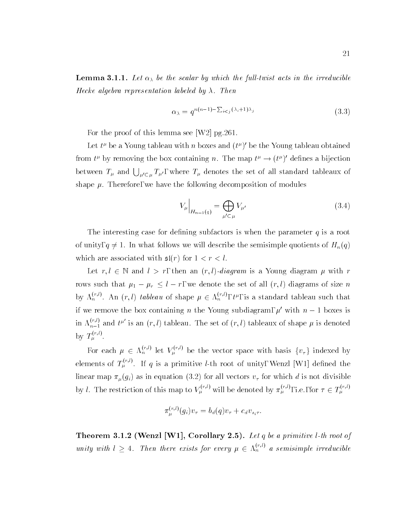**Lemma 3.1.1.** Let  $\alpha_{\lambda}$  be the scalar by which the full-twist acts in the irreducible Hecke algebra representation labeled by  $\lambda$ . Then

$$
\alpha_{\lambda} = q^{n(n-1) - \sum_{i < j} (\lambda_i + 1)\lambda_j} \tag{3.3}
$$

For the proof of this lemma see [W2] pg.261.

Let  $\iota$  be a Young tableau with  $n$  boxes and  $(\iota^r)$  be the Young tableau obtained from  $t^r$  by removing the box containing n. The map  $t^r \rightarrow (t^r)$  defines a bijection between  $T_{\mu}$  and  $\bigcup_{\mu'\in\mu}T_{\mu'}$ , where  $T_{\mu}$  denotes the set of all standard tableaux of shape  $\mu$ . Therefore, we have the following decomposition of modules

$$
V_{\mu}\Big|_{H_{n-1}(q)} = \bigoplus_{\mu' \subset \mu} V_{\mu'} \tag{3.4}
$$

The interesting case for defining subfactors is when the parameter  $q$  is a root of unity,  $q \neq 1$ . In what follows we will describe the semisimple quotients of  $H_n(q)$ which are associated with  $\mathfrak{sl}(r)$  for  $1 < r < l$ .

Let  $r, l \in \mathbb{N}$  and  $l > r$ , then an  $(r, l)$ -diagram is a Young diagram  $\mu$  with r rows such that  $\mu_1 - \mu_r \leq l - r$ , we denote the set of all  $(r, l)$  diagrams of size n by  $\Lambda_n^{r,r}$ . An  $(r,l)$  tableau of shape  $\mu \in \Lambda_n^{r,r}$ ,  $t^{\mu}$ , is a standard tableau such that if we remove the box containing n the Young subdiagram,  $\mu'$  with  $n - 1$  boxes is in  $\Lambda_{n-1}^{(r,r)}$  and  $t^{\mu}$  is an  $(r,l)$  tableau. The set of  $(r,l)$  tableaux of shape  $\mu$  is denoted by  $T_u^{\gamma,\gamma}$ .

For each  $\mu \in \Lambda_n^{\gamma,\gamma}$  let  $V_\mu^{\gamma,\gamma}$  be the vector space with basis  $\{v_\tau\}$  indexed by elements of  $T_a^{\gamma\gamma\gamma}$ . If q is a primitive l-th root of unity, Wenzl [W1] defined the linear map  $\pi_{\mu}(g_i)$  as in equation (3.2) for all vectors  $v_{\tau}$  for which d is not divisible by l. The restriction of this map to  $V_\mu$ <sup>202</sup> will be denoted by  $\pi_\mu^{\alpha\beta\gamma}$ , i.e., for  $\tau \in T_\mu^{\alpha\gamma\gamma}$ 

$$
\pi_{\mu}^{(r,l)}(g_i)v_{\tau} = b_d(q)v_{\tau} + c_d v_{s_i\tau}.
$$

**THEOLEM 3.1.2** (WEILZE | W 1), COLOHALY 2.5). Let q be a primitive l-th root of unity with  $l \geq 4$ . Then there exists for every  $\mu \in \Lambda_n^{\times,\vee}$  a semisimple irreducible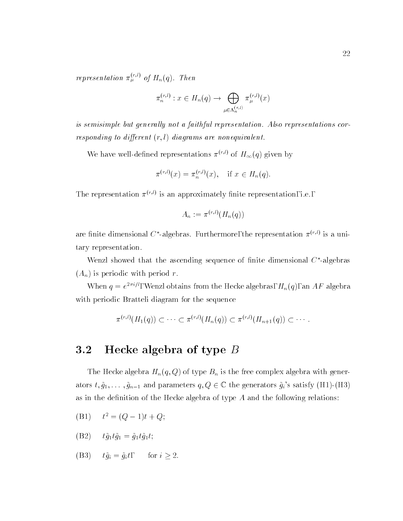representation  $\pi_\mu^{\scriptscriptstyle{(IV)}}$  of  $H_n(q)$ . Then

$$
\pi_n^{(r,l)}: x \in H_n(q) \to \bigoplus_{\mu \in \Lambda_n^{(r,l)}} \pi_{\mu}^{(r,l)}(x)
$$

is semisimple but generally not a faithful representation. Also representations corresponding to different  $(r, l)$  diagrams are nonequivalent.

We have well-defined representations  $\pi^{(r,l)}$  of  $H_{\infty}(q)$  given by

$$
\pi^{(r,l)}(x) = \pi_n^{(r,l)}(x), \quad \text{if } x \in H_n(q).
$$

The representation (r;l) is an approximately nite representation, i.e.,

$$
A_n := \pi^{(r,l)}(H_n(q))
$$

are initie dimensional  $\cup$  -algebras. Furthermore, the representation  $\pi^{++}$  is a unitary representation.

Wenzl showed that the ascending sequence of nite dimensional C -algebras  $(A_n)$  is periodic with period r.

when  $q = e^{-i\omega t}$ , wenzi obtains from the Hecke algebras,  $H_n(q)$ , an AF algebra with periodic Bratteli diagram for the sequence

$$
\pi^{(r,l)}(H_1(q)) \subset \cdots \subset \pi^{(r,l)}(H_n(q)) \subset \pi^{(r,l)}(H_{n+1}(q)) \subset \cdots
$$

#### 3.2Hecke algebra of type  $B$

The Hecke algebra  $H_n(q,Q)$  of type  $B_n$  is the free complex algebra with generators  $t, \tilde{g}_1,\ldots,\tilde{g}_{n-1}$  and parameters  $q,Q \in \mathbb{C}$  the generators  $\tilde{g}_i$ 's satisfy (H1)-(H3) as in the definition of the Hecke algebra of type  $A$  and the following relations:

 $(D1)$   $t^2 = (Q - 1)t + Q;$ 

(B2) 
$$
t\tilde{g}_1 t\tilde{g}_1 = \tilde{g}_1 t\tilde{g}_1 t;
$$

(B3) 
$$
t\tilde{g}_i = \tilde{g}_i t
$$
, for  $i \geq 2$ .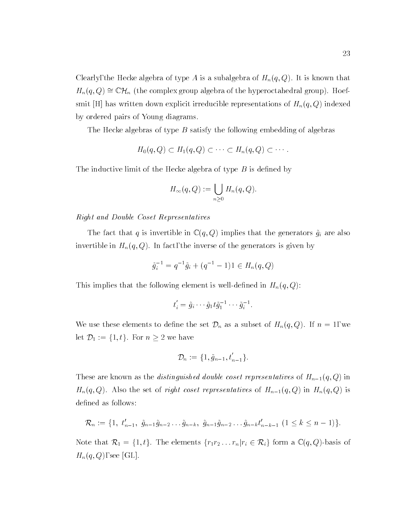Clearly, the Hecke algebra of type A is a subalgebra of  $H_n(q,Q)$ . It is known that  $H_n(q,Q) \cong \mathbb{C}\mathcal{H}_n$  (the complex group algebra of the hyperoctahedral group). Hoefsmit [H] has written down explicit irreducible representations of  $H_n(q,Q)$  indexed by ordered pairs of Young diagrams.

The Hecke algebras of type  $B$  satisfy the following embedding of algebras

$$
H_0(q,Q) \subset H_1(q,Q) \subset \cdots \subset H_n(q,Q) \subset \cdots.
$$

The inductive limit of the Hecke algebra of type  $B$  is defined by

$$
H_{\infty}(q, Q) := \bigcup_{n \geq 0} H_n(q, Q).
$$

### Right and Double Coset Representatives

The fact that q is invertible in  $\mathbb{C}(q, Q)$  implies that the generators  $\tilde{g}_i$  are also invertible in  $H_n(q,Q)$ . In fact, the inverse of the generators is given by

$$
\tilde{g}_i^{-1} = q^{-1}\tilde{g}_i + (q^{-1} - 1)1 \in H_n(q, Q)
$$

This implies that the following element is well-defined in  $H_n(q,Q)$ :

$$
t_i' = \tilde{g}_i \cdots \tilde{g}_1 t \tilde{g}_1^{-1} \cdots \tilde{g}_i^{-1}.
$$

We use these elements to define the set  $\mathcal{D}_n$  as a subset of  $H_n(q, Q)$ . If  $n = 1$ , we let D1 := f1; tg. For <sup>n</sup> 2 we have

$$
\mathcal{D}_n := \{1, \tilde{g}_{n-1}, t'_{n-1}\}.
$$

These are known as the *distinguished double coset representatives* of  $H_{n-1}(q,Q)$  in  $H_n(q,Q)$ . Also the set of *right coset representatives* of  $H_{n-1}(q,Q)$  in  $H_n(q,Q)$  is defined as follows:

$$
\mathcal{R}_n := \{1, t'_{n-1}, \tilde{g}_{n-1}\tilde{g}_{n-2}\dots\tilde{g}_{n-k}, \tilde{g}_{n-1}\tilde{g}_{n-2}\dots\tilde{g}_{n-k}t'_{n-k-1} (1 \leq k \leq n-1)\}.
$$

Note that  $\mathcal{R}_1 = \{1, t\}$ . The elements  $\{r_1r_2 \ldots r_n | r_i \in \mathcal{R}_i\}$  form a  $\mathbb{C}(q, Q)$ -basis of  $H_n(q,Q)$ , see [GL].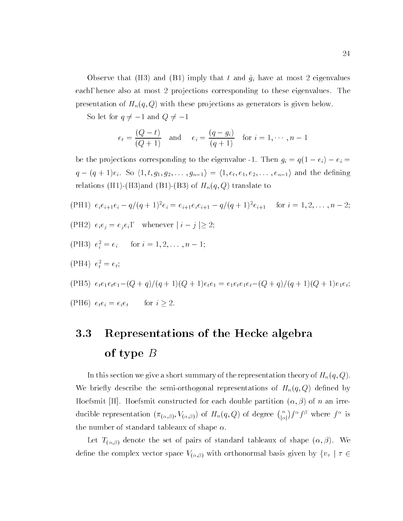Observe that (H3) and (B1) imply that t and  $\tilde{g}_i$  have at most 2 eigenvalues each, hence also at most 2 projections corresponding to these eigenvalues. The presentation of  $H_n(q, Q)$  with these projections as generators is given below.

So let for  $q \neq -1$  and  $Q \neq -1$ 

$$
e_t = \frac{(Q-t)}{(Q+1)}
$$
 and  $e_i = \frac{(q-g_i)}{(q+1)}$  for  $i = 1, \dots, n-1$ 

be the projections corresponding to the eigenvalue -1. Then  $g_i = q(1 - e_i) - e_i =$  $\mathcal{A}$  , and the solution of the density  $\mathcal{A}$  and the density  $\mathcal{A}$  and the density  $\mathcal{A}$  and the density  $\mathcal{A}$ relations (H1)-(H3)and (B1)-(B3) of  $H_n(q,Q)$  translate to

(PH1) 
$$
e_i e_{i+1} e_i - q/(q+1)^2 e_i = e_{i+1} e_i e_{i+1} - q/(q+1)^2 e_{i+1}
$$
 for  $i = 1, 2, ..., n-2$ ;  
\n(PH2)  $e_i e_j = e_j e_i$ , whenever  $|i - j| \ge 2$ ;  
\n(PH3)  $e_i^2 = e_i$  for  $i = 1, 2, ..., n-1$ ;  
\n(PH4)  $e_t^2 = e_t$ ;  
\n(PH5)  $e_t e_1 e_t e_1 - (Q + q)/(q + 1)(Q + 1)e_t e_1 = e_1 e_t e_1 e_t - (Q + q)/(q + 1)(Q + 1)e_1 e_t$ ;  
\n(PH6)  $e_t e_i = e_i e_t$  for  $i \ge 2$ .

# 3.3 Representations of the Hecke algebra  $\mathsf{U}$  type  $\mathsf{U}$

In this section we give a short summary of the representation theory of  $H_n(q,Q)$ . We briefly describe the semi-orthogonal representations of  $H_n(q,Q)$  defined by Hoefsmit [H]. Hoefsmit constructed for each double partition  $(\alpha, \beta)$  of n an irreducible representation  $(\pi_{(\alpha,\beta)},V_{(\alpha,\beta)})$  of  $H_n(q,Q)$  of degree  $\binom{n}{|\alpha|}f^{\alpha}f^{\beta}$  where  $f^{\alpha}$  is the number of standard tableaux of shape  $\alpha$ .

Let  $T_{(\alpha,\beta)}$  denote the set of pairs of standard tableaux of shape  $(\alpha,\beta)$ . We define the complex vector space  $V_{(\alpha,\beta)}$  with orthonormal basis given by  $\{v_{\tau}\mid \tau\in$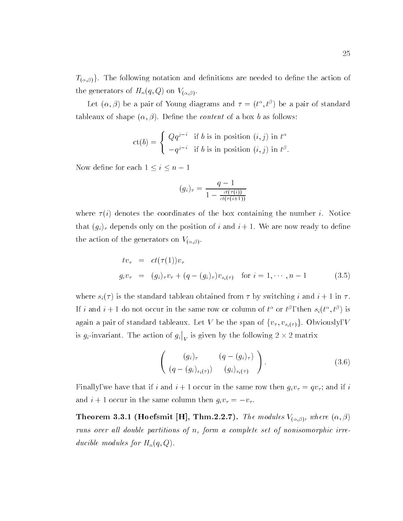$T_{(\alpha,\beta)}\}.$  The following notation and definitions are needed to define the action of the generators of  $H_n(q, Q)$  on  $V_{(\alpha, \beta)}$ .

Let  $(\alpha, \beta)$  be a pair of Young diagrams and  $\tau = (t_-, t_-)$  be a pair of standard tableaux of shape  $(\alpha, \beta)$ . Define the *content* of a box b as follows:

$$
ct(b) = \begin{cases} Qq^{j-i} & \text{if } b \text{ is in position } (i,j) \text{ in } t^{\alpha} \\ -q^{j-i} & \text{if } b \text{ is in position } (i,j) \text{ in } t^{\beta}. \end{cases}
$$

Now define for each  $1 \leq i \leq n - 1$ 

$$
(g_i)_{\tau} = \frac{q-1}{1 - \frac{ct(\tau(i))}{ct(\tau(i+1))}}
$$

where  $\tau(i)$  denotes the coordinates of the box containing the number i. Notice that  $(g_i)$ <sub>7</sub> depends only on the position of i and  $i+1$ . We are now ready to define the action of the generators on  $V_{(\alpha,\beta)}$ .

$$
tv_{\tau} = ct(\tau(1))v_{\tau}
$$
  
\n
$$
g_iv_{\tau} = (g_i)_{\tau}v_{\tau} + (q - (g_i)_{\tau})v_{s_i(\tau)}
$$
 for  $i = 1, \dots, n-1$  (3.5)

where  $s_i(\tau)$  is the standard tableau obtained from  $\tau$  by switching i and  $i+1$  in  $\tau$ . If t and  $i + 1$  do not occur in the same row or column of  $t^+$  or  $t^+$ , then  $s_i(t^-, t^+)$  is again a pair of standard tableaux. Let V be the span of  $\{v_{\tau}, v_{s_i(\tau)}\}$ . Obviously, V is  $g_i$ -invariant. The action of  $g_i|_V$  is given by the following  $2 \times 2$  matrix

$$
\left(\begin{array}{cc} (g_i)_{\tau} & (q - (g_i)_{\tau}) \\ (q - (g_i)_{s_i(\tau)}) & (g_i)_{s_i(\tau)} \end{array}\right).
$$
\n(3.6)

Finally, we have that if i and  $i+1$  occur in the same row then  $g_i v_\tau = q v_\tau$ ; and if i and  $i + 1$  occur in the same column then  $g_i v_\tau = -v_\tau$ .

**THEOLEM 3.3.1 (HOEFSMIT [H], THM.2.2.1).** The modules  $V(\alpha, \beta)$ , where  $(\alpha, \beta)$ runs over all double partitions of n, form a complete set of nonisomorphic irreducible modules for  $H_n(q,Q)$ .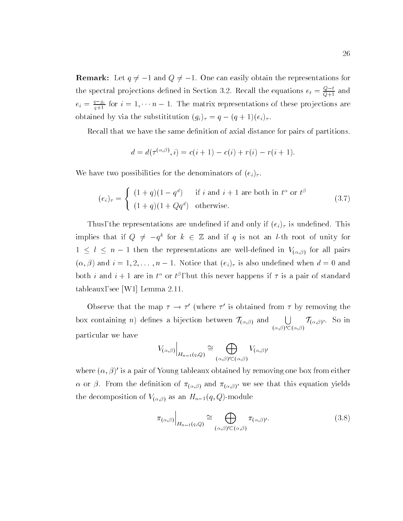$R$  . Let  $\mathcal{L}$  and  $\mathcal{L}$  of  $\mathcal{L}$  and  $\mathcal{L}$  and  $\mathcal{L}$  and  $\mathcal{L}$  are representations for  $\mathcal{L}$ the spectral projections defined in Section 3.2. Recall the equations  $e_t = \frac{1}{Q+1}$  and  $e_i = \frac{q-1}{q+1}$  for  $i = 1, \dots, n-1$ . The matrix representations of these projections are obtained by via the substititution  $(g_i)_{\tau} = q - (q+1)(e_i)_{\tau}$ .

Recall that we have the same definition of axial distance for pairs of partitions.

$$
d = d(\tau^{(\alpha,\beta)}, i) = c(i+1) - c(i) + r(i) - r(i+1).
$$

We have two possibilities for the denominators of  $(e_i)_\tau$ .

$$
(e_i)_{\tau} = \begin{cases} (1+q)(1-q^d) & \text{if } i \text{ and } i+1 \text{ are both in } t^{\alpha} \text{ or } t^{\beta} \\ (1+q)(1+Qq^d) & \text{otherwise.} \end{cases}
$$
(3.7)

Thus, the representations are undefined if and only if  $(e_i)$ <sub>7</sub> is undefined. This implies that if  $Q \neq -q^+$  for  $\kappa \in \mathbb{Z}$  and if q is not an *t*-th root of unity for  $\sim$   $\sim$  1  $\sim$  1 then the representations are well-defined in  $\alpha_{\rm{M}}$  ( $\alpha_{\rm{M}}$ ) for all pairs  $\sim$  $(\alpha, \beta)$  and  $i = 1, 2, \ldots, n - 1$ . Notice that  $(e_i)$ <sub>r</sub> is also undefined when  $d = 0$  and both  $i$  and  $i+1$  are in  $t^+$  or  $t^+$ , but this never happens if  $\tau$  is a pair of standard tableaux, see [W1] Lemma 2.11.

Observe that the map  $\tau \rightarrow \tau$  (where  $\tau$  is obtained from  $\tau$  by removing the box containing *n*) defines a bijection between  $\mathcal{T}_{(\alpha,\beta)}$  and [J =  $\mathcal{T}_{(\beta,\beta)}$  $(0, D)$  ( $(0, D)$  $\sim$   $\alpha$   $\beta$  is  $\sim$   $\sim$   $\sim$   $\sim$   $\sim$ particular we have

$$
V_{(\alpha,\beta)}\Big|_{H_{n-1}(q,Q)} \cong \bigoplus_{(\alpha,\beta)' \subset (\alpha,\beta)} V_{(\alpha,\beta)'}
$$

where  $(\alpha, \rho)$  is a pair of Young tableaux obtained by removing one box from either  $\alpha$  or  $\beta$ . From the definition of  $\pi_{(\alpha,\beta)}$  and  $\pi_{(\alpha,\beta)}$  we see that this equation yields the decomposition of  $V_{(\alpha,\beta)}$  as an  $H_{n-1}(q,Q)$ -module

and the state of the state of the state of

$$
\pi_{(\alpha,\beta)}\Big|_{H_{n-1}(q,Q)} \cong \bigoplus_{(\alpha,\beta)' \subset (\alpha,\beta)} \pi_{(\alpha,\beta')}.
$$
\n(3.8)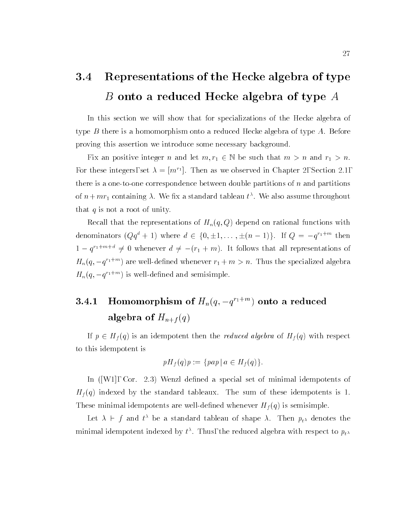### 3.4 Representations of the Hecke algebra of type B onto a reduced Hecke algebra of type A

In this section we will show that for specializations of the Hecke algebra of type  $B$  there is a homomorphism onto a reduced Hecke algebra of type  $A$ . Before proving this assertion we introduce some necessary background.

Fix an positive integer n and let  $m, r_1 \in \mathbb{N}$  be such that  $m > n$  and  $r_1 > n$ . For these integers, set  $\lambda = |m|$ . Then as we observed in Chapter 2, Section 2.1, there is a one-to-one correspondence between double partitions of  $n$  and partitions of  $n + mr_1$  containing  $\lambda$  . We fix a standard tableau  $t$  , we also assume throughout that  $q$  is not a root of unity.

Recall that the representations of  $H_n(q,Q)$  depend on rational functions with denominators ( $Qq^+ + 1$ ) where  $a \in \{0, \pm 1, \ldots, \pm (n-1)\}$ . If  $Q = -q^{n+m}$  then  $1 - q^{n+m+1} \neq 0$  whenever  $a \neq -(r_1 + m)$ . It follows that all representations of  $\pi_n(q,-q^{n+m})$  are well-defined whenever  $r_1+m>n$ . Thus the specialized algebra  $\pi_n(q,-q^{n+m})$  is well-defined and semisimple.

### 3.4.1Homomorphism of  $H_n(q, -q^{n+m})$  onto a reduced  $argcut \alpha$  of  $H_{n+1}(q)$

If  $p = \frac{1}{2}$  is an identical then the reduced algebra of Hf (q) with respect to  $\frac{1}{2}$ to this idempotent is

$$
pH_f(q)p := \{pap \mid a \in H_f(q)\}.
$$

In  $([W1], \text{Cor. } 2.3)$  Wenzl defined a special set of minimal idempotents of  $H_f(q)$  indexed by the standard tableaux. The sum of these idempotents is 1. These minimal idempotents are well-defined whenever  $H_f(q)$  is semisimple.

Let  $\lambda \ \sqsubset \ J$  and the bela standard tableau of shape  $\lambda$ . Then  $p_{t \lambda}$  denotes the minimal idempotent indexed by  $\iota$  . Thus, the reduced algebra with respect to  $p_{t^{\lambda}}$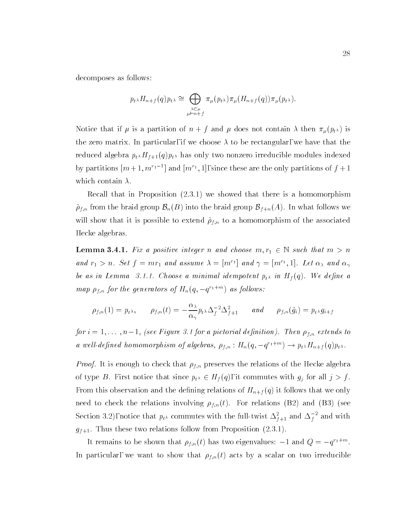decomposes as follows:

$$
p_{t^{\lambda}}H_{n+f}(q)p_{t^{\lambda}} \cong \bigoplus_{\substack{\lambda \subset \mu \\ \mu \vdash n+f}} \pi_{\mu}(p_{t^{\lambda}})\pi_{\mu}(H_{n+f}(q))\pi_{\mu}(p_{t^{\lambda}}).
$$

Notice that if  $\mu$  is a partition of  $n + f$  and  $\mu$  does not contain  $\lambda$  then  $\pi_{\mu}(p_{t^{\lambda}})$  is the zero matrix. In particular, if we choose  $\lambda$  to be rectangular, we have that the reduced algebra  $p_t H_{f+1}(q) p_t$  has only two nonzero irreducible modules indexed by partitions  $[m+1, m+1]$  and  $[m+1, 1]$ , since these are the only partitions of  $f + 1$ which contain  $\lambda$ .

Recall that in Proposition (2.3.1) we showed that there is a homomorphism  $\tilde{\rho}_{f,n}$  from the braid group  $\mathcal{B}_n(B)$  into the braid group  $\mathcal{B}_{f+n}(A)$ . In what follows we will show that it is possible to extend  $\tilde{\rho}_{f,n}$  to a homomorphism of the associated Hecke algebras.

**Lemma 3.4.1.** Fix a positive integer n and choose  $m, r_1 \in \mathbb{N}$  such that  $m > n$ and  $r_1 > n$ . Set  $f = mr_1$  and assume  $\lambda = |m| \cdot |$  and  $\gamma = |m| \cdot , 1|$ . Let  $\alpha_{\lambda}$  and  $\alpha_{\gamma}$ be as in Lemma 3.1.1. Choose a minimal idempotent  $p_{t^{\lambda}}$  in  $H_f(q)$ . We define a map  $\rho_{f,n}$  for the generators of  $\bm{\pi}_n(q,-q^{n+m})$  as follows:

$$
\rho_{f,n}(1) = p_{t^{\lambda}}, \quad \rho_{f,n}(t) = -\frac{\alpha_{\lambda}}{\alpha_{\gamma}} p_{t^{\lambda}} \Delta_f^{-2} \Delta_{f+1}^2 \quad and \quad \rho_{f,n}(\tilde{g}_i) = p_{t^{\lambda}} g_{i+f}
$$

for  $i = 1, \ldots, n-1$ , (see Figure 3.1 for a pictorial definition). Then  $\rho_{f,n}$  extends to a well-defined nomomorphism of algebras,  $\rho_{f,n}: H_n(q,-q^{-1+n}) \to p_{t^{\lambda}} H_{n+f}(q) p_{t^{\lambda}}.$ 

*Proof.* It is enough to check that  $\rho_{f,n}$  preserves the relations of the Hecke algebra of type B. First notice that since  $p_{t^{\lambda}} \in H_f(q)$ , it commutes with  $g_j$  for all  $j > f$ . From this observation and the defining relations of  $H_{n+f}(q)$  it follows that we only need to check the relations involving  $\rho_{f,n}(t)$ . For relations (B2) and (B3) (see Section 3.2), notice that  $p_{t^{\lambda}}$  commutes with the full-twist  $\Delta_{f+1}^{\tau}$  and  $\Delta_{f}^{\tau}$  and with  $g_{f+1}$ . Thus these two relations follow from Proposition (2.3.1).

It remains to be snown that  $\rho_{f,n}(t)$  has two eigenvalues:  $-1$  and  $Q = -q^{(1+\cdots)}$ . In particular, we want to show that  $\rho_{f,n}(t)$  acts by a scalar on two irreducible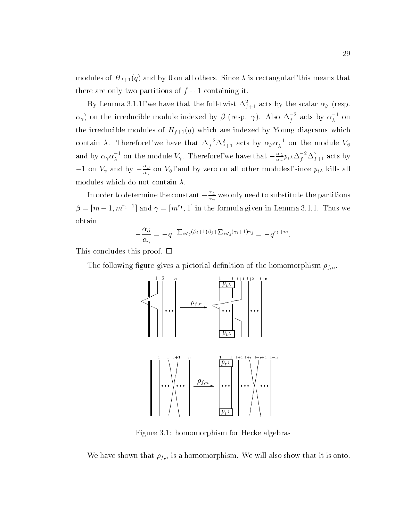modules of  $H_{f+1}(q)$  and by 0 on all others. Since  $\lambda$  is rectangular, this means that there are only two partitions of  $f + 1$  containing it.

By Lemma 5.1.1, we have that the full-twist  $\Delta_{f+1}^2$  acts by the scalar  $\alpha_\beta$  (resp.  $\alpha_\gamma$ ) on the irreducible module indexed by  $\beta$  (resp.  $\gamma$ ). Also  $\Delta_f^{-}$  acts by  $\alpha_\lambda^{-}$  on the irreducible modules of  $H_{f+1}(q)$  which are indexed by Young diagrams which contain  $\lambda$ . Therefore, we have that  $\Delta_f$ - $\Delta_{f+1}^*$  acts by  $\alpha_\beta\alpha_\lambda$  on the module  $V_\beta$ and by  $\alpha_\gamma \alpha_\lambda$   $\bar{ }$  on the module  $V_\gamma$ . Therefore, we have that  $-\frac{1}{\alpha_\gamma} p_{t^\lambda} \Delta_f \Delta_f \Delta_f$  acts by  $-1$  on  $V_{\gamma}$  and by  $-\frac{e}{\alpha_{\gamma}}$  on  $V_{\beta}$ , and by zero on all other modules, since  $p_{t^{\lambda}}$  kills all modules which do not contain  $\lambda$ .

In order to determine the constant  $-\frac{\nu}{\alpha_\gamma}$  we only need to substitute the partitions  $\rho = [m+1,m]^{T-1}$  and  $\gamma = [m]^{T}$ , is the formula given in Lemma 3.1.1. Thus we obtain

$$
-\frac{\alpha_{\beta}}{\alpha_{\gamma}} = -q^{-\sum_{i < j} (\beta_i + 1)\beta_j + \sum_{i < j} (\gamma_i + 1)\gamma_j} = -q^{r_1 + m}.
$$

This concludes this proof.  $\square$ 

The following figure gives a pictorial definition of the homomorphism  $\rho_{f,n}$ .



Figure 3.1: homomorphism for Hecke algebras

We have shown that  $\rho_{f,n}$  is a homomorphism. We will also show that it is onto.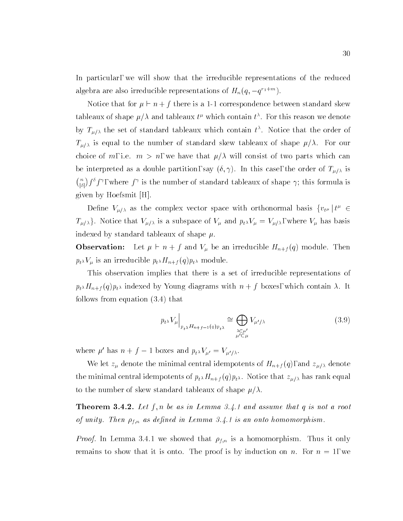In particular, we will show that the irreducible representations of the reduced algebra are also irreducible representations of  $H_n(q, -q^{n+m})$ .

Notice that for  $\mu \vdash n + f$  there is a 1-1 correspondence between standard skew tableaux of shape  $\mu/\lambda$  and tableaux  $\iota^-$  which contain  $\iota^-$  . For this reason we denote by  $T_{\mu/\lambda}$  the set of standard tableaux which contain  $t^{\alpha}$ . Notice that the order of  $T_{\mu/\lambda}$  is equal to the number of standard skew tableaux of shape  $\mu/\lambda$ . For our choice of m, i.e.  $m>n$ , we have that  $\mu/\lambda$  will consist of two parts which can be interpreted as a double partition, say  $(\delta, \gamma)$ . In this case, the order of  $T_{\mu/\lambda}$  is  $\binom{n}{|\delta|} f^{\delta} f^{\gamma}$ , where  $f^{\gamma}$  is the number of standard tableaux of shape  $\gamma$ ; this formula is given by Hoefsmit [H].

Define  $V_{\mu/\lambda}$  as the complex vector space with orthonormal basis  $\{v_{t\mu} | t^{\mu} \in$  $T_{\mu/\lambda}$ . Notice that  $V_{\mu/\lambda}$  is a subspace of  $V_{\mu}$  and  $p_t \lambda V_{\mu} = V_{\mu/\lambda}$ , where  $V_{\mu}$  has basis indexed by standard tableaux of shape  $\mu$ .

Observation: Let ` <sup>n</sup> <sup>+</sup> <sup>f</sup> and V be an irreducible Hn+f (q) module. Then  $p_{t^{\lambda}}V_{\mu}$  is an irreducible  $p_{t^{\lambda}}H_{n+f}(q)p_{t^{\lambda}}$  module.

This observation implies that there is a set of irreducible representations of  $p_{t} H_{n+f}(q) p_{t}$  indexed by Young diagrams with  $n+f$  boxes, which contain  $\lambda$ . It follows from equation (3.4) that

$$
p_{t^{\lambda}} V_{\mu} \Big|_{p_{t^{\lambda}} H_{n+f-1}(q) p_{t^{\lambda}}} \cong \bigoplus_{\substack{\lambda \subset \mu' \\ \mu' \subset \mu}} V_{\mu'/\lambda} \tag{3.9}
$$

where  $\mu$  has  $n + f - 1$  boxes and  $p_t \chi_{\mu'} = V_{\mu'}/\chi$ .

We let  $z_{\mu}$  denote the minimal central idempotents of  $H_{n+f}(q)$ , and  $z_{\mu/\lambda}$  denote the minimal central idempotents of  $p_t H_{n+f} (q) p_t$ . Notice that  $z_{\mu/\lambda}$  has rank equal to the number of skew standard tableaux of shape  $\mu/\lambda$ .

**THEOLEM 9.4.2.** Let fin be as in Lemma 3.4.1 and assume that  $q$  is not a root of unity. Then  $\rho_{f,n}$  as defined in Lemma 3.4.1 is an onto homomorphism.

*Proof.* In Lemma 3.4.1 we showed that  $\rho_{f,n}$  is a homomorphism. Thus it only remains to show that it is onto. The proof is by induction on n. For  $n = 1$ , we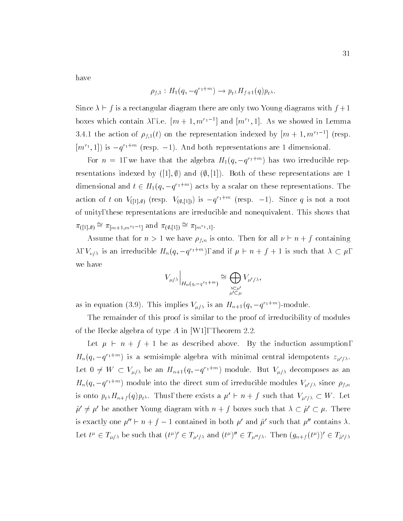have

$$
\rho_{f,1} : H_1(q, -q^{r_1+m}) \to p_{t^{\lambda}} H_{f+1}(q) p_{t^{\lambda}}.
$$

 $S$  is a rectangular diagram there are only two Young diagram there are only two Young diagrams with f  $\sim$ boxes which contain  $\lambda$ , i.e.  $|m+1,m^{\perp}|$  and  $|m^{\perp},1|$ . As we showed in Lemma 3.4.1 the action of  $\rho_{f,1}(t)$  on the representation indexed by  $|m+1,m+1|$  (resp.  $|m|^{2}$ , 1) is  $-q^{n+m}$  (resp.  $-1$ ). And both representations are 1 dimensional.

For  $n = 1$ , we have that the algebra  $H_1(q, -q^{n+m})$  has two irreducible representations indexed by ([1],  $\emptyset$ ) and ( $\emptyset$ , [1]). Both of these representations are 1 dimensional and  $t \in H_1(q, -q^{(1+\alpha)})$  acts by a scalar on these representations. The action of t on  $V([1], \emptyset)$  (resp.  $V(\emptyset, [1])$ ) is  $-q^{n+1}$  (resp.  $-1$ ). Since q is not a root of unity, these representations are irreducible and nonequivalent. This shows that  $\alpha$  ([1],  $\varnothing$ ) =  $\alpha$  | $m+1,m^{r_1-1}$  different  $\alpha$  ( $\varnothing$ , |1]) =  $\alpha$  | $m^{r_1}$ , 1].

Assume that for  $n > 1$  we have  $\rho_{f,n}$  is onto. Then for all  $\nu \vdash n + f$  containing  $\lambda$ ,  $V_{\nu/\lambda}$  is an irreducible  $H_n(q, -q^{n+m})$ , and if  $\mu \vdash n + j + 1$  is such that  $\lambda \subset \mu$ , we have

$$
V_{\mu/\lambda}\Big|_{H_n(q,-q^{r_1+m})} \cong \bigoplus_{\substack{\lambda \subset \mu'\\ \mu' \subset \mu}} V_{\mu'/\lambda},
$$

as in equation (5.9). This implies  $V_{\mu/\lambda}$  is an  $H_{n+1}(q,-q^{n+m})$ -module.

The remainder of this proof is similar to the proof of irreducibility of modules of the Hecke algebra of type A in [W1], Theorem 2.2.

Let ` <sup>n</sup> <sup>+</sup> f+ 1 be as described above. By the induction assumption,  $H_n(q,-q^{n+m})$  is a semisimple algebra with minimal central idempotents  $z_{\mu' / \lambda}$ . Let  $0 \neq W \subseteq V_{\mu/\lambda}$  be an  $H_{n+1}(q, -q^{n+m})$  module. But  $V_{\mu/\lambda}$  decomposes as an  $H_n(q,-q^{n+m})$  module into the direct sum of irreducible modules  $V_{\mu' / \lambda}$  since  $\rho_{f,n}$ is onto  $p_t \Lambda H_{n+f}(q) p_t \Lambda$ . Thus, there exists a  $\mu' \vdash n+f$  such that  $V_{\mu'/\lambda} \subset W$ . Let  $\tilde{\mu}' \neq \mu'$  be another Young diagram with  $n + f$  boxes such that  $\lambda \subset \tilde{\mu}' \subset \mu$ . There is exactly one  $\mu'' \vdash n + f - 1$  contained in both  $\mu'$  and  $\tilde{\mu}'$  such that  $\mu''$  contains  $\lambda$ . Let  $t^{\mu} \in L_{\mu/\lambda}$  be such that  $(t^{\nu}) \in L_{\mu'/\lambda}$  and  $(t^{\nu}) \in L_{\mu''/\lambda}$ . Then  $(g_{n+f}(t^{\nu})) \in L_{\tilde{\mu}'/\lambda}$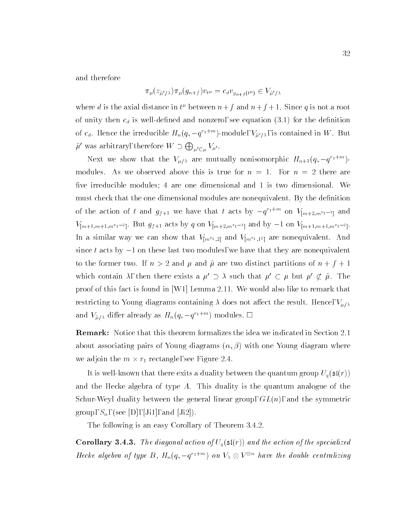and therefore

$$
\pi_\mu(z_{\tilde{\mu}'/\lambda})\pi_\mu(g_{n+f})v_{t^\mu}=c_d v_{g_{n+f}(t^\mu)}\in V_{\tilde{\mu}'/\lambda}
$$

where d is the axial distance in  $t^{\mu}$  between  $n+f$  and  $n+f+1$ . Since q is not a root of unity then  $c_d$  is well-defined and nonzero, see equation (3.1) for the definition of  $c_d$ . Hence the irreducible  $H_n(q, -q^{n+m})$ -module,  $V_{\tilde{\mu}'/\lambda}$ , is contained in W. But  $\tilde{\mu}'$  was arbitrary, therefore  $W \supset \bigoplus_{\mu' \subset \mu} V_{\mu'}.$ 

Next we show that the  $V_{\mu/\lambda}$  are mutually nonisomorphic  $H_{n+1}(q,-q^{n+m})$ modules. As we observed above this is true for  $n = 1$ . For  $n = 2$  there are five irreducible modules; 4 are one dimensional and 1 is two dimensional. We must check that the one dimensional modules are nonequivalent. By the definition of the action of t and  $g_{f+1}$  we have that t acts by  $-q^{r_1+m_1}$  on  $V_{[m+2,m^{r_1-1}]}$  and  $V$ ] $m+1$ ; $m+1$ ; $m+1$ ; $m+1$ ; $m+2$ ; $m+2$ ; $m+2$ ; $m+1$ ; $m+1$ ; $m+1$ ; $m+1$ ; $m+1$ ; $m+1$ In a similar way we can show that  $V_{[m+1,2]}$  and  $V_{[m+1,2]}$  are nonequivalent. This since t acts by  $-1$  on these last two modules, we have that they are nonequivalent to the former two. If  $n > 2$  and  $\mu$  and  $\tilde{\mu}$  are two distinct partitions of  $n + f + 1$ which contain  $\lambda$ , then there exists a  $\mu' \supset \lambda$  such that  $\mu' \subset \mu$  but  $\mu' \not\subset \tilde{\mu}$ . The proof of this fact is found in [W1] Lemma 2.11. We would also like to remark that restricting to Young diagrams containing  $\lambda$  does not affect the result. Hence,  $V_{\mu/\lambda}$ and  $V_{\tilde{u}/\lambda}$  differ already as  $H_n(q, -q^{n+m})$  modules.  $\Box$ 

 $\mathbf x$  . The matrix  $\mathbf x$  that the section formalizes the idea we indicated in Section 2.1  $\mathbf x$ about associating pairs of Young diagrams  $(\alpha, \beta)$  with one Young diagram where we adjoin the m - rate adjoint the m - rate adjoint the m - rate and - rate adjoint the m - rate and - rate adjoint the m - rate and - rate adjoint the m - rate and - rate and - rate and - rate and - rate and - rate and -

It is well-known that there exits a duality between the quantum group  $U_q(\mathfrak{sl}(r))$ and the Hecke algebra of type A. This duality is the quantum analogue of the Schur-Weyl duality between the general linear group,  $GL(n)$ , and the symmetric group,  $S_n$ , (see [D], [Ji1], and [Ji2]).

The following is an easy Corollary of Theorem 3.4.2.

**Corollary 3.4.3.** The diagonal action of  $U_q(\mathfrak{sl}(r))$  and the action of the specialized Hecke algebra of type  $B$ ,  $H_n(q, -q^{n+m})$  on  $V_\lambda \otimes V$  are the double centralizing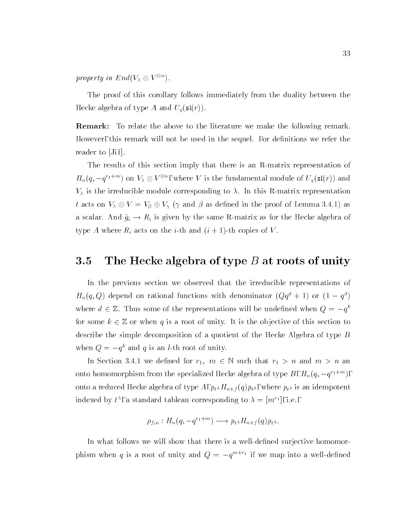property in End( $V_{\lambda} \otimes V^{\circ}$ ).

The proof of this corollary follows immediately from the duality between the Hecke algebra of type A and  $U_q(\mathfrak{sl}(r)).$ 

Remark: To relate the above to the literature we make the following remark. However, this remark will not be used in the sequel. For definitions we refer the reader to  $|J_1|$ .

The results of this section imply that there is an R-matrix representation of  $H_n(q,-q^{r_1+m})$  on  $V_\lambda\otimes V^{\otimes n},$  where V is the fundamental module of  $U_q(\mathfrak{sl}(r))$  and  $V_{\lambda}$  is the irreducible module corresponding to  $\lambda$ . In this R-matrix representation t acts on  $\Lambda \cup \Lambda$  , we will define the proof on the proof of  $\Lambda$  as defined in the proof of  $\Lambda$ a scalar. And  $\tilde{g}_i \to R_i$  is given by the same R-matrix as for the Hecke algebra of type A where  $R_i$  acts on the *i*-th and  $(i + 1)$ -th copies of V.

#### 3.5The Hecke algebra of type  $B$  at roots of unity

In the previous section we observed that the irreducible representations of  $H_n(q,Q)$  depend on rational functions with denominator  $(Qq^* + 1)$  or  $(1 - q^*)$ where  $a \in \mathbb{Z}$ . Thus some of the representations will be undefined when  $Q = -q$ for some  $k \in \mathbb{Z}$  or when q is a root of unity. It is the objective of this section to describe the simple decomposition of a quotient of the Hecke Algebra of type  $B$ when  $Q = -q^2$  and q is an *t*-th root of unity.

In Section 3.4.1 we defined for  $r_1, m \in \mathbb{N}$  such that  $r_1 > n$  and  $m > n$  and onto homomorphism from the specialized Hecke algebra of type  $B$  ,  $H_n(q,-q^{n+m}),$ onto a reduced Hecke algebra of type A,  $p_{t} M_{n+f}(q) p_{t}$ , where  $p_{t}$  is an idempotent indexed by  $t$  , a standard tableau corresponding to  $\lambda = |m|$  [, i.e.,  $-$ 

$$
\rho_{f,n}: H_n(q, -q^{r_1+m}) \longrightarrow p_{t^{\lambda}} H_{n+f}(q) p_{t^{\lambda}}.
$$

In what follows we will show that there is a well-defined surjective homomorphism when q is a root of unity and  $Q = -q^{m+r+1}$  if we map into a well-defined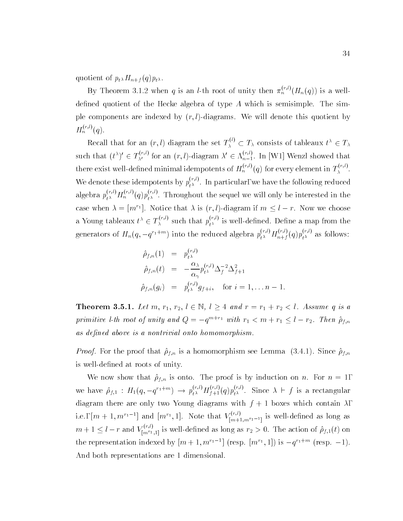quotient of  $p_{t^{\lambda}}H_{n+f}(q)p_{t^{\lambda}}$ .

By Theorem 3.1.2 when q is an *l*-th root of unity then  $\pi_n^{n,\prime}(H_n(q))$  is a welldefined quotient of the Hecke algebra of type  $A$  which is semisimple. The simple components are indexed by  $(r, l)$ -diagrams. We will denote this quotient by  $H_n^{\scriptscriptstyle \wedge\cdots\scriptscriptstyle 1}$  (q).

Recall that for an  $(r, l)$  diagram the set  $T_{\lambda}^{\vee} \subset T_{\lambda}$  consists of tableaux  $t^{\wedge} \in T_{\lambda}$ such that  $(t^{\wedge})' \in T^{\wedge}$  for an  $(r, l)$ -diagram  $\lambda' \in \Lambda^{(r-1)}_{n-1}$ . In [W1] Wenzl showed that there exist well-defined minimal idempotents of  $H_n^{\gamma,\gamma,\prime}(q)$  for every element in  $T_\lambda^{\gamma,\gamma,\prime}.$ We denote these idempotents by  $p_{t\lambda}^{\text{max}}$  . In particular, we have the following reduced algebra  $p_{t^{\lambda}}^{(s,r)}H_n^{(s,r)}(q)p_{t^{\lambda}}^{(s,r)}$  . Throughout the sequel we will only be interested in the case when  $\lambda = |m|$  . Notice that  $\lambda$  is  $(r, t)$ -diagram if  $m \leq t - r$ . Now we choose a Young tableaux  $t^{\alpha} \in T_{\lambda}^{(n)}$  such that  $p_{t^{\lambda}}^{(n)}$  is well-defined. Define a map from the generators of  $H_n(q,-q^{\prime_1+\tau_2})$  into the reduced algebra  $p_{t^{\lambda}}^{\ldots}H_{n+f}^{\ldots} (q) p_{t^{\lambda}}^{\ldots}$  as follows:

$$
\begin{array}{rcl}\n\hat{\rho}_{f,n}(1) & = & p_{t^{\lambda}}^{(r,l)} \\
\hat{\rho}_{f,n}(t) & = & -\frac{\alpha_{\lambda}}{\alpha_{\gamma}} p_{t^{\lambda}}^{(r,l)} \Delta_f^{-2} \Delta_{f+1}^2 \\
\hat{\rho}_{f,n}(g_i) & = & p_{t^{\lambda}}^{(r,l)} g_{f+i}, \quad \text{for } i = 1, \ldots n-1.\n\end{array}
$$

**THEOLEM 3.3.1.** Let  $m, r_1, r_2, t \in \mathbb{N}$ ,  $t \geq 4$  and  $r = r_1 + r_2 \leq t$ . Assume q is a primitive l-th root of unity and  $Q = -q^{m+r_1}$  with  $r_1 < m + r_1 \leq l - r_2$ . Then  $\hat{\rho}_{f,n}$ as defined above is a nontrivial onto homomorphism.

*Proof.* For the proof that  $\rho_{f,n}$  is a homomorphism see Lemma (3.4.1). Since  $\rho_{f,n}$ is well-defined at roots of unity.

We now show that  $\hat{\rho}_{f,n}$  is onto. The proof is by induction on n. For  $n = 1$ , we have  $\rho_{f,1}$  :  $H_1(q, -q^{r_1+m}) \to p_{t^{\lambda}}^{r_1,r} H_{f+1}^{r_2,r_3}(q) p_{t^{\lambda}}^{r_3,r_4}$ . Since  $\lambda \vdash f$  is a rectangular diagram there are only two Young diagrams with  $f + 1$  boxes which contain  $\lambda$ , 1.e.,  $[m+1, m']^{-1}$  and  $[m']$ , 1. Note that  $V_{[m+1, m']^{-1}]}^{(m+1)}$  is well-defined as long as  $m+1 \leq l-r$  and  $V_{[m]r_{l-1}r_{l-1}]}$  is well-defined as long as  $r_2 > 0$ . The action of  $\rho_{f,1}(t)$  on the representation indexed by  $|m+1,m+1|$  (resp.  $|m+1|$ ) is  $-q$  if the (resp.  $-1$ ). And both representations are 1 dimensional.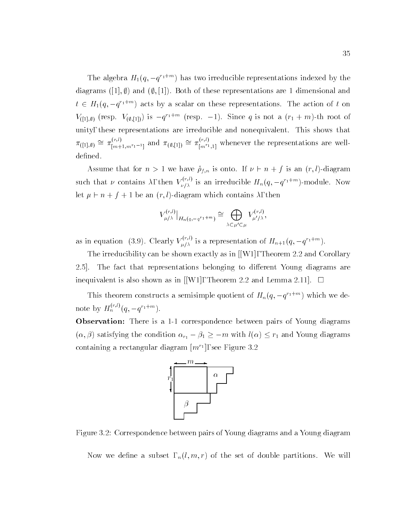The algebra  $H_1(q, -q^{\alpha_1+\cdots})$  has two irreducible representations indexed by the diagrams ([1],  $\emptyset$ ) and ( $\emptyset$ , [1]). Both of these representations are 1 dimensional and  $t \in H_1(q, -q^{n+m})$  acts by a scalar on these representations. The action of t on  $V([1, \emptyset)$  (resp.  $V(\emptyset, [1])$ ) is  $-q^{-1}$  (resp.  $-1$ ). Since q is not a  $(T_1 + m)$ -th root of unity, these representations are irreducible and nonequivalent. This shows that  $\pi_{([1],\emptyset)} \cong \pi_{[m+1,m^{r_1-1}]}^{\ldots, r_l}$  and  $\pi_{(\emptyset,[1])} \cong \pi_{[m^{r_1},1]}^{\ldots, r_l}$  whenever the representations are welldefined.

Assume that for  $n > 1$  we have  $\hat{\rho}_{f,n}$  is onto. If  $\nu \vdash n + f$  is an  $(r, l)$ -diagram such that  $\nu$  contains  $\lambda$ , then  $V_{\nu/\lambda}^{\gamma_1,\gamma_2}$  is an irreducible  $H_n(q,-q^{\gamma_1+\gamma_2})$ -module. Now let a n f f i be an entirely then  $\Delta$  and  $\Delta$  and  $\Delta$  and  $\Delta$  then  $\Delta$ 

$$
V_{\mu/\lambda}^{(r,l)}\big|_{H_n(q,-q^{r_1+m})} \cong \bigoplus_{\lambda \subset \mu' \subset \mu} V_{\mu'/\lambda}^{(r,l)},
$$

as in equation (3.9). Clearly  $V_{u/\lambda}^{N}$  is a representation of  $H_{n+1}(q,-q^{r_1+m})$ .

The irreducibility can be shown exactly as in [[W1], Theorem 2.2 and Corollary 2.5. The fact that representations belonging to different Young diagrams are inequivalent is also shown as in [[W1], Theorem 2.2 and Lemma 2.11].  $\Box$ 

This theorem constructs a semisimple quotient of  $H_n(q, -q^{\gamma_1+m})$  which we denote by  $H_n^{\gamma,\nu}(q,-q^{r_1+m}).$ 

Observation: There is a 1-1 correspondence between pairs of Young diagrams  $(\alpha, \beta)$  satisfying the condition  $\alpha_{r_1} - \beta_1 \ge -m$  with  $l(\alpha) \le r_1$  and Young diagrams containing a rectangular diagram  $[m^+]$ , see Figure 3.2  $\,$ 



Figure 3.2: Correspondence between pairs of Young diagrams and a Young diagram

Now we define a subset,  $_n(l, m, r)$  of the set of double partitions. We will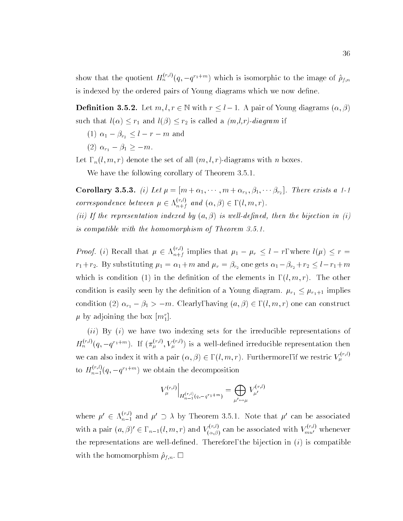show that the quotient  $H_n^{\gamma\gamma\gamma}(q,-q^{\gamma_1+m})$  which is isomorphic to the image of  $\rho_{f,n}$ is indexed by the ordered pairs of Young diagrams which we now define.

**Demittion 3.3.2.** Let  $m, i, i \in \mathbb{N}$  with  $i \geq i-1$ . A pair of Young diagrams  $(\alpha, \beta)$ such that  $l(\alpha) \leq r_1$  and  $l(\beta) \leq r_2$  is called a  $(m, l, r)$ -diagram if

- (1)  $\alpha_1 \beta_{r_2} \leq l r m$  and
- (2)  $\alpha_{r_1} \beta_1 \geq -m$ .

Let,  $n(l, m, r)$  denote the set of all  $(m, l, r)$ -diagrams with n boxes.

We have the following corollary of Theorem 3.5.1.

Corollary **5.5.3.** (*i)* Let  $\mu = [m \mp \alpha_1, \cdots, m \mp \alpha_{r_1}, \beta_1, \cdots \beta_{r_2}]$ . There exists a 1-1 correspondence between  $\mu \in \Lambda_{n+f}^{\cdots,r}$  and  $(\alpha, \beta) \in$  ,  $(l, m, r)$ .

(ii) If the representation indexed by  $(a, \beta)$  is well-defined, then the bijection in (i) is compatible with the homomorphism of Theorem 3.5.1.

*Proof.* (*i*) Recall that  $\mu \in \Lambda_{n+1}^{(n)}$  is  $n+j$  implies that  $r^{i}$  is the left  $r^{i}$  in the limit  $r^{i}$  is the left  $r^{i}$  in the left  $r^{i}$  $r_1 + r_2$ . By substituting  $\mu_1 = \alpha_1 + m$  and  $\mu_r = \beta_{r_2}$  one gets  $\alpha_1 - \beta_{r_2} + r_2 \leq l - r_1 + m$ which is condition (1) in the definition of the elements in  $(l, m, r)$ . The other condition is easily seen by the definition of a Young diagram.  $\mu_{r_1} \leq \mu_{r_1+1}$  implies condition (2)  $\alpha_{r_1} - \beta_1 > -m$ . Clearly, having  $(a, \beta) \in$ ,  $(l, m, r)$  one can construct  $\mu$  by adjoining the box  $[m_1^r]$ .

 $(ii)$  By  $(i)$  we have two indexing sets for the irreducible representations of  $H_n^{\gamma,\gamma}(q,-q^{i_1+\gamma n})$ . If  $(\pi_u^{\gamma,\gamma},V_u^{\gamma,\gamma})$  is a well-defined irreducible representation then we can also index it with a pair  $(\alpha, \beta) \in$  ,  $(l, m, r)$ . Furthermore, if we restric  $V_\mu$  . Then to  $H_{n-1}^{\langle\cdots\rangle}(q,-q^{\prime\,1\mp m})$  we obtain the decomposition

$$
V_{\mu}^{(r,l)}\Big|_{H_{n-1}^{(r,l)}(q,-q^{r_1+m})} = \bigoplus_{\mu' \leftrightarrow \mu} V_{\mu'}^{(r,l)}
$$

where  $\mu' \in \Lambda_{n-1}^{(v)}$  and  $\mu' \supset \lambda$  by Theorem 3.5.1. Note that  $\mu'$  can be associated with a pair  $(a, \beta)' \in$ ,  $_{n-1}(l, m, r)$  and  $V_{(\alpha, \beta)}^{(n)}$  can be associated with  $V_{mu'}^{(n)}$  whenever the representations are well-defined. Therefore, the bijection in  $(i)$  is compatible with the homomorphism  $\hat{\rho}_{f,n}$ .  $\square$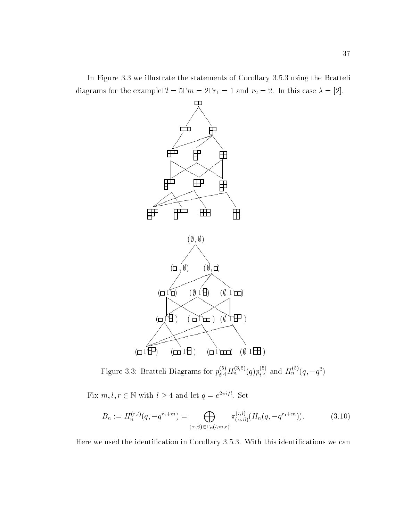In Figure 3.3 we illustrate the statements of Corollary 3.5.3 using the Bratteli diagrams for the example,  $l = 5$ ,  $m = 2$ ,  $r_1 = 1$  and  $r_2 = 2$ . In this case  $\lambda = [2]$ .



Figure 3.3: Bratteli Diagrams for  $p_{t[2]}^{s,s}(H_n^{s,s})/(q) p_{t[2]}^{s,s}$  and  $H_n^{s,s}(q,-q^s)$ 

Fix  $m, l, r \in \mathbb{N}$  with  $l \geq 4$  and let  $q = e^{-i\omega_l}$ . Set

$$
B_n := H_n^{(r,l)}(q, -q^{r_1+m}) = \bigoplus_{(\alpha,\beta)\in\Gamma_n(l,m,r)} \pi_{(\alpha,\beta)}^{(r,l)}(H_n(q, -q^{r_1+m})).
$$
\n(3.10)

Here we used the identification in Corollary 3.5.3. With this identifications we can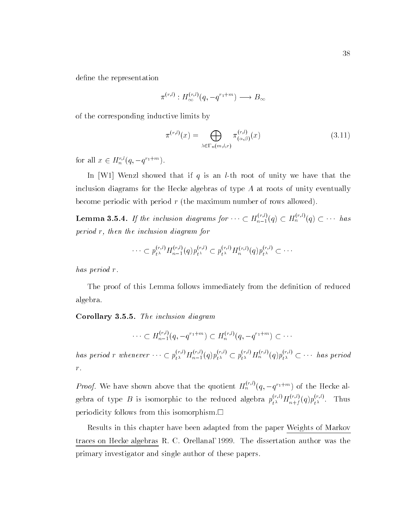define the representation

$$
\pi^{(r,l)}: H^{(r,l)}_{\infty}(q, -q^{r_1+m}) \longrightarrow B_{\infty}
$$

of the corresponding inductive limits by

$$
\pi^{(r,l)}(x) = \bigoplus_{\lambda \in \Gamma_n(m,l,r)} \pi^{(r,l)}_{(\alpha,\beta)}(x) \tag{3.11}
$$

for all  $x \in H_n^{\{1\}}(q, -q^{n+1})$ .

In [W1] Wenzl showed that if q is an *l*-th root of unity we have that the inclusion diagrams for the Hecke algebras of type  $A$  at roots of unity eventually become periodic with period r (the maximum number of rows allowed).

**Lemma 3.5.4.** If the inclusion diagrams for  $\cdots \subset H_{n-1}^{(n)}(q) \subset H_n^{(n)}(q) \subset \cdots$  has period r, then the inclusion diagram for

$$
\cdots\subset p_{t^{\lambda}}^{(r,l)}H_{n-1}^{(r,l)}(q)p_{t^{\lambda}}^{(r,l)}\subset p_{t^{\lambda}}^{(r,l)}H_{n}^{(r,l)}(q)p_{t^{\lambda}}^{(r,l)}\subset\cdots
$$

has period r.

The proof of this Lemma follows immediately from the definition of reduced algebra.

Corollary 3.3.5. The inclusion diagram

$$
\cdots \subset H_{n-1}^{(r,l)}(q, -q^{r_1+m}) \subset H_n^{(r,l)}(q, -q^{r_1+m}) \subset \cdots
$$

has period r whenever  $\cdots \subset p_{t^{\lambda}}^{\cdots}H_{n-1}^{\cdots}(q)p_{t^{\lambda}}^{\cdots} \subset p_{t^{\lambda}}^{\cdots}H_{n}^{\cdots}{}'(q)p_{t^{\lambda}}^{\cdots} \subset \cdots$  has period r.

*Proof.* We have shown above that the quotient  $H_n^{\gamma,\gamma}(q,-q^{r_1+m})$  of the Hecke algebra of type B is isomorphic to the reduced algebra  $p_{t^{\lambda}}^{(m)}H_{n+f}^{(m)}(q)p_{t^{\lambda}}^{(m)}$ . Thus periodicity follows from this isomorphism.

Results in this chapter have been adapted from the paper Weights of Markov traces on Hecke algebras R. C. Orellana, 1999. The dissertation author was the primary investigator and single author of these papers.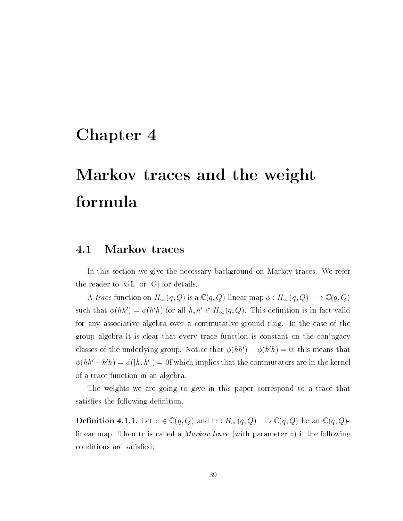# Chapter 4

# Markov traces and the weight formula

#### 4.1Markov traces

In this section we give the necessary background on Markov traces. We refer the reader to [GL] or [G] for details.

A trace function on  $H_{\infty}(q,Q)$  is a  $\mathbb{C} (q,Q)$ -linear map  $\phi : H_{\infty}(q,Q) \longrightarrow \mathbb{C} (q,Q)$ such that  $\phi(hh') = \phi(h'h)$  for all  $h, h' \in H_{\infty}(q, Q)$ . This definition is in fact valid for any associative algebra over a commutative ground ring. In the case of the group algebra it is clear that every trace function is constant on the conjugacy classes of the underlying group. Notice that  $\phi(hh') - \phi(h'h) = 0$ ; this means that  $\varphi(nn - n|n) = \varphi(|n, n|) = 0$ , which implies that the commutators are in the kernel of a trace function in an algebra.

The weights we are going to give in this paper correspond to a trace that satisfies the following definition.

**Demition 4.1.1.** Let  $z \in \mathcal{C}(q, q)$  and tr :  $H_{\infty}(q, q) \longrightarrow \mathcal{C}(q, q)$  be an  $\mathcal{C}(q, q)$ linear map. Then tr is called a Markov trace (with parameter z) if the following conditions are satisfied: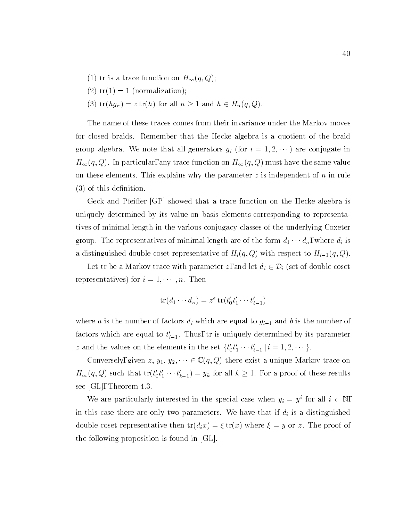- (1) tr is a trace function on  $H_{\infty}(q,Q);$
- (2)  $tr(1) = 1$  (normalization);
- (3)  $tr(hg_n) = z tr(h)$  for all  $n \ge 1$  and  $h \in H_n(q, Q)$ .

The name of these traces comes from their invariance under the Markov moves for closed braids. Remember that the Hecke algebra is a quotient of the braid group algebra. We note that all generators  $g_i$  (for  $i = 1, 2, \dots$ ) are conjugate in  $H_{\infty}(q,Q).$  In particular, any trace function on  $H_{\infty}(q,Q)$  must have the same value on these elements. This explains why the parameter  $z$  is independent of  $n$  in rule  $(3)$  of this definition.

Geck and Pfeiffer [GP] showed that a trace function on the Hecke algebra is uniquely determined by its value on basis elements corresponding to representatives of minimal length in the various conjugacy classes of the underlying Coxeter group. The representatives of minimal length are of the form  $d_1 \cdots d_n$ , where  $d_i$  is a distinguished double coset representative of  $H_i(q,Q)$  with respect to  $H_{i-1}(q,Q)$ .

Let tr be a Markov trace with parameter z, and let  $d_i \in \mathcal{D}_i$  (set of double coset representatives) for  $i = 1, \dots, n$ . Then

$$
\operatorname{tr}(d_1\cdots d_n)=z^a\operatorname{tr}(t'_0t'_1\cdots t'_{b-1})
$$

where a is the number of factors  $d_i$  which are equal to  $g_{i-1}$  and b is the number of factors which are equal to  $t_{i-1}$ . Thus, tr is uniquely determined by its parameter  $z$  and the values on the elements in the set  $\{t_0t_1\cdots t_{i-1}\,|\, i=1,2,\cdots\}$ .

Conversely, given  $z, y_1, y_2, \dots \in \mathbb{C}(q, Q)$  there exist a unique Markov trace on  $H_{\infty}(q, Q)$  such that  $\text{tr}(t_0 t_1 \cdots t_{k-1}) = y_k$  for all  $k \geq 1$ . For a proof of these results see [GL], Theorem 4.3.

We are particularly interested in the special case when  $y_i = y^i$  for all  $i \in \mathbb{N}$ , in this case there are only two parameters. We have that if  $d_i$  is a distinguished double coset representative then  $tr(d_i x) = \xi tr(x)$  where  $\xi = y$  or z. The proof of the following proposition is found in [GL].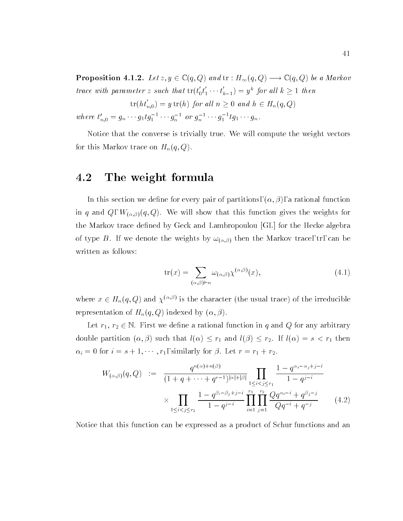**Proposition 4.1.2.** Let  $z, y \in \mathcal{L}(q, Q)$  and it :  $H_{\infty}(q, Q) \longrightarrow \mathcal{L}(q, Q)$  be a Markov trace with parameter  $z$  such that  $\mathrm{tr}(t_0t_1\cdots t_{k-1})=y^k$  for all  $k\geq 1$  then

$$
\text{tr}(ht'_{n,0}) = y \text{ tr}(h) \text{ for all } n \ge 0 \text{ and } h \in H_n(q,Q)
$$

where  $t_{n,0} = g_n \cdots g_1 t g_1 \cdots g_n$  or  $g_n \cdots g_1 t g_1 \cdots g_n$ .

Notice that the converse is trivially true. We will compute the weight vectors for this Markov trace on  $H_n(q,Q)$ .

#### 4.2The weight formula

In this section we define for every pair of partitions,  $(\alpha, \beta)$ , a rational function in q and Q,  $W_{(\alpha,\beta)}(q,Q)$ . We will show that this function gives the weights for the Markov trace defined by Geck and Lambropoulou [GL] for the Hecke algebra of type B. If we denote the weights by  $\omega_{(\alpha,\beta)}$  then the Markov trace, tr, can be written as follows:

$$
\operatorname{tr}(x) = \sum_{(\alpha,\beta)\vdash n} \omega_{(\alpha,\beta)} \chi^{(\alpha,\beta)}(x),\tag{4.1}
$$

where  $x \in H_n(q, Q)$  and  $\chi^{(\gamma,\gamma)}$  is the character (the usual trace) of the irreducible representation of  $H_n(q, Q)$  indexed by  $(\alpha, \beta)$ .

Let  $r_1, r_2 \in \mathbb{N}$ . First we define a rational function in q and Q for any arbitrary double partition  $(\alpha, \beta)$  such that  $l(\alpha) \leq r_1$  and  $l(\beta) \leq r_2$ . If  $l(\alpha) = s < r_1$  then  $\alpha_i = 0$  for  $i = s + 1, \cdots, r_1$ , similarly for  $\beta$ . Let  $r = r_1 + r_2$ .

$$
W_{(\alpha,\beta)}(q,Q) := \frac{q^{n(\alpha)+n(\beta)}}{(1+q+\cdots+q^{r-1})^{|\alpha|+|\beta|}} \prod_{1 \leq i < j \leq r_1} \frac{1-q^{\alpha_i-\alpha_j+j-i}}{1-q^{j-i}} \times \prod_{1 \leq i < j \leq r_2} \frac{1-q^{\beta_i-\beta_j+j-i}}{1-q^{j-i}} \prod_{i=1}^{r_1} \prod_{j=1}^{r_2} \frac{Qq^{\alpha_i-i}+q^{\beta_j-j}}{Qq^{-i}+q^{-j}} \tag{4.2}
$$

Notice that this function can be expressed as a product of Schur functions and an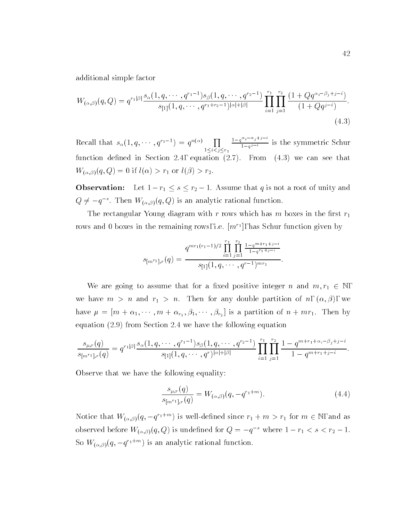additional simple factor

$$
W_{(\alpha,\beta)}(q,Q) = q^{r_1|\beta|} \frac{s_{\alpha}(1,q,\cdots,q^{r_1-1})s_{\beta}(1,q,\cdots,q^{r_2-1})}{s_{[1]}(1,q,\cdots,q^{r_1+r_2-1})^{|\alpha|+|\beta|}} \prod_{i=1}^{r_1} \prod_{j=1}^{r_2} \frac{(1+Qq^{\alpha_i-\beta_j+j-i})}{(1+Qq^{j-i})}.
$$
\n(4.3)

Recall that  $s_{\alpha}(1, q, \dots, q^{r_1-1}) = q^{n(\alpha)} \prod_{1 \leq j \leq n} \frac{1-q}{1-q}$ 1i<jr1  $1-q$ ij ji $j \in \{1, \ldots, q\}$  $1-q^{j-i}$  is the symmetric Schur is the symmetric  $s$ function density density  $\mathcal{A} = \mathcal{A}$  . For  $\mathcal{A} = \mathcal{A}$  we can see that see that see that see that see that  $W_{(\alpha,\beta)}(q,Q) = 0$  if  $l(\alpha) > r_1$  or  $l(\beta) > r_2$ .

Observation: Let 1 r1 <sup>s</sup> r2 1. Assume that <sup>q</sup> is not a root of unity and  $Q \neq -q$  : Then  $W_{(\alpha,\beta)}(q,Q)$  is an analytic rational function.

The rectangular Young diagram with r rows which has m boxes in the first  $r_1$ rows and 0 boxes in the remaining rows, i.e.  $|m|$  , has Schur function given by

$$
s_{[m^{r_1}],r}(q) = \frac{q^{mr_1(r_1-1)/2} \prod_{i=1}^{r_1} \prod_{j=1}^{r_2} \frac{1-q^{m+r_1+j-i}}{1-q^{r_1+j-i}}}{s_{[1]}(1,q,\cdots,q^{r-1})^{mr_1}}.
$$

We are going to assume that for a fixed positive integer n and  $m, r_1 \in \mathbb{N}$ , we have  $m > n$  and  $r_1 > n$ . Then for any double partition of n,  $(\alpha, \beta)$ , we have = [m <sup>+</sup> 1; ; m <sup>+</sup> r1 ; 1; ; r2 ] is a partition of n + mr1. Then by equation (2.9) from Section 2.4 we have the following equation

$$
\frac{s_{\mu,r}(q)}{s_{[m^{r_1}],r}(q)} = q^{r_1|\beta|} \frac{s_{\alpha}(1,q,\cdots,q^{r_1-1})s_{\beta}(1,q,\cdots,q^{r_2-1})}{s_{[1]}(1,q,\cdots,q^r)^{|\alpha|+|\beta|}} \prod_{i=1}^{r_1} \prod_{j=1}^{r_2} \frac{1-q^{m+r_1+\alpha_i-\beta_j+j-i}}{1-q^{m+r_1+j-i}}.
$$

Observe that we have the following equality:

$$
\frac{s_{\mu,r}(q)}{s_{[m^{r_1}],r}(q)} = W_{(\alpha,\beta)}(q, -q^{r_1+m}).
$$
\n(4.4)

Notice that  $W(\alpha, \beta)(q, -q^{n+m})$  is well-defined since  $r_1 + m > r_1$  for  $m \in \mathbb{N}$ , and as observed before  $W_{(\alpha,\beta)}(q,Q)$  is undefined for  $Q = -q^{-s}$  where  $1 - r_1 < s < r_2 - 1$ . So  $W(\alpha, \beta)$  (q,  $-q$  + +  $\alpha$  ) is an analytic rational function.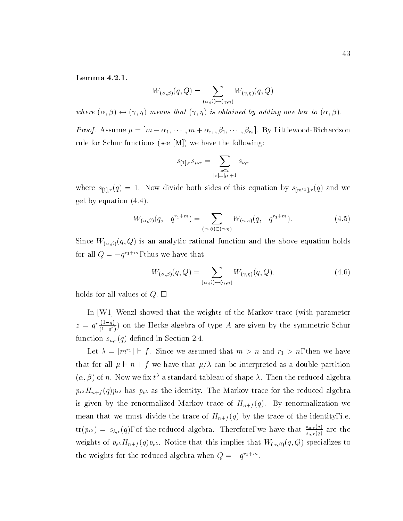Lemma 4.2.1.

$$
W_{(\alpha,\beta)}(q,Q) = \sum_{(\alpha,\beta)\leftrightarrow(\gamma,\eta)} W_{(\gamma,\eta)}(q,Q)
$$

where  $(\alpha, \beta) \leftrightarrow (\gamma, \eta)$  means that  $(\gamma, \eta)$  is obtained by adding one box to  $(\alpha, \beta)$ .

 $\mathcal{P}$  , and the first contract of the first contract of the first contract of the first contract of the first contract of the first contract of the first contract of the first contract of the first contract of the firs rule for Schur functions (see [M]) we have the following:

$$
s_{[1],r} s_{\mu,r} = \sum_{\substack{\mu \subset \nu \\ |\nu| = |\mu| + 1}} s_{\nu,r}
$$

where  $s_{[1],r}(q) = 1$ . Now divide both sides of this equation by  $s_{[m^{r_1}],r}(q)$  and we get by equation (4.4).

$$
W_{(\alpha,\beta)}(q, -q^{r_1+m}) = \sum_{(\alpha,\beta)\in(\gamma,\eta)} W_{(\gamma,\eta)}(q, -q^{r_1+m}).
$$
\n(4.5)

Since  $W_{(\alpha,\beta)}(q,Q)$  is an analytic rational function and the above equation holds for all  $Q = -q$  in the state that the that

$$
W_{(\alpha,\beta)}(q,Q) = \sum_{(\alpha,\beta)\leftrightarrow(\gamma,\eta)} W_{(\gamma,\eta)}(q,Q). \tag{4.6}
$$

holds for all values of  $Q$ .  $\square$ 

In [W1] Wenzl showed that the weights of the Markov trace (with parameter  $z = q' \frac{z - i}{(1 - q^r)}$  on the Hecke algebra of type A are given by the symmetric Schur function  $s_{\mu,r}(q)$  defined in Section 2.4.

Let  $\lambda = |m|$   $\vdash$   $\rfloor$ . Since we assumed that  $m>n$  and  $r_1>n$ , then we have that for all  $\mu \vdash n + f$  we have that  $\mu/\lambda$  can be interpreted as a double partition  $(\alpha, \beta)$  of n. Now we fix  $t^{\lambda}$  a standard tableau of shape  $\lambda$ . Then the reduced algebra  $p_{t^{\lambda}}H_{n+f}(q)p_{t^{\lambda}}$  has  $p_{t^{\lambda}}$  as the identity. The Markov trace for the reduced algebra is given by the renormalized Markov trace of  $H_{n+f}(q)$ . By renormalization we mean that we must divide the trace of  $H_{n+f}(q)$  by the trace of the identity, i.e.  ${\rm tr}(p_{t^{\lambda}})=s_{\lambda,r}(q),$  of the reduced algebra. Therefore, we have that  $\frac{2\mu(r+1)}{s_{\lambda,r}(q)}$  are the weights of  $p_t \Lambda H_{n+f}(q) p_t \Lambda$ . Notice that this implies that  $W_{(\alpha,\beta)}(q,Q)$  specializes to the weights for the reduced algebra when  $Q = -q + m$ .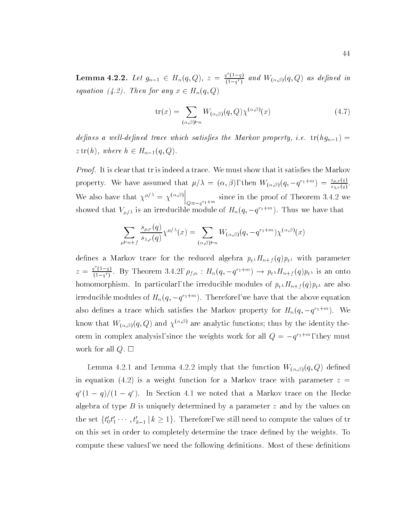**Lemma 4.2.2.** Let  $g_{n-1} \in H_n(q,Q)$ ,  $z = \frac{q^-(1-q)}{(1-q^r)}$  and  $W_{(\alpha,\beta)}(q,Q)$  as defined in equation (4.2). Then for any  $x \in H_n(q,Q)$ 

$$
\text{tr}(x) = \sum_{(\alpha,\beta)\vdash n} W_{(\alpha,\beta)}(q,Q)\chi^{(\alpha,\beta)}(x) \tag{4.7}
$$

defines a well-defined trace which satisfies the Markov property, i.e.  $tr(hg_{n-1}) =$  $z \operatorname{tr}(h)$ , where  $h \in H_{n-1}(q,Q)$ .

*Proof.* It is clear that tr is indeed a trace. We must show that it satisfies the Markov property. We have assumed that  $\mu/\lambda = (\alpha, \beta)$ , then  $W_{(\alpha, \beta)}(q, -q'^{\text{max}}) = \frac{1}{s_{\lambda,r}(q)}$ . We also have that  $\chi^{\mu/\lambda} = \chi^{(\alpha,\beta)}\Big|_{\Omega=-q^{r_1+m}}$  since in the proof of Theorem 3.4.2 we showed that  $V_{\mu/\lambda}$  is an irreducible module of  $H_n(q,-q^{n+m})$ . Thus we have that

$$
\sum_{\mu \vdash n+f} \frac{s_{\mu,r}(q)}{s_{\lambda,r}(q)} \chi^{\mu/\lambda}(x) = \sum_{(\alpha,\beta) \vdash n} W_{(\alpha,\beta)}(q, -q^{r_1+m}) \chi^{(\alpha,\beta)}(x)
$$

defines a Markov trace for the reduced algebra  $p_t H_{n+f}(q) p_t$  with parameter  $z = \frac{q^2(1-q)}{(1-q^r)}$ . By Theorem 3.4.2,  $\rho_{f,n} : H_n(q, -q^{r_1+m}) \to p_{t^{\lambda}} H_{n+f}(q) p_{t^{\lambda}}$  is an onto homomorphism. In particular, the irreducible modules of  $p_{t} M_{n+f} (q) p_{t}$  are also irrequcible modules of  $H_n(q, -q^{(1+\alpha)})$ . Therefore, we have that the above equation also defines a trace which satisfies the Markov property for  $H_n(q,-q^{(1)})$ . We know that  $W_{(\alpha,\beta)}(q,Q)$  and  $\chi^{(\alpha,\beta)}$  are analytic functions; thus by the identity theorem in complex analysis, since the weights work for all  $Q = -q^{n+m}$ , they must work for all  $Q. \Box$ 

Lemma 4.2.1 and Lemma 4.2.2 imply that the function  $W_{(\alpha,\beta)}(q,Q)$  defined in equation (4.2) is a weight function for a Markov trace with parameter  $z =$  $q$  (1  $-q$ )/(1  $-q$ ). In Section 4.1 we noted that a Markov trace on the Hecke algebra of type  $B$  is uniquely determined by a parameter  $z$  and by the values on the set  $\{t_0t_1\cdots,t_{k-1}\,|\, k\geq 1\}$ . Therefore, we still need to compute the values of tr on this set in order to completely determine the trace defined by the weights. To compute these values, we need the following definitions. Most of these definitions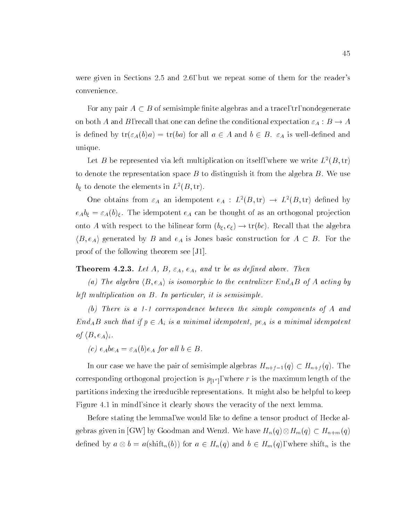were given in Sections 2.5 and 2.6, but we repeat some of them for the reader's convenience.

For any pair  $A \subset B$  of semisimple finite algebras and a trace, tr, nondegenerate on both A and B, recall that one can define the conditional expectation  $\varepsilon_A : B \to A$ is defined by  $tr(\varepsilon_A(b)a) = tr(ba)$  for all  $a \in A$  and  $b \in B$ .  $\varepsilon_A$  is well-defined and unique.

Let B be represented via left multiplication on itself, where we write  $L^2(B, \text{tr})$ to denote the representation space  $B$  to distinguish it from the algebra  $B$ . We use  $b_{\xi}$  to denote the elements in  $L^2(B, \text{tr}).$ 

One obtains from  $\varepsilon_A$  an idempotent  $e_A : L^2(B, \text{tr}) \to L^2(B, \text{tr})$  defined by  $e_A b_\xi = \varepsilon_A(b)_\xi$ . The idempotent  $e_A$  can be thought of as an orthogonal projection onto A with respect to the bilinear form  $(b_{\xi}, c_{\xi}) \rightarrow \text{tr}(bc)$ . Recall that the algebra  $\langle B, e_A \rangle$  generated by B and  $e_A$  is Jones basic construction for  $A \subset B$ . For the proof of the following theorem see [J1].

**THEOREM 4.2.3.** Let  $A, B, c_A, c_A, d$  and if be as defined above. Then

(a) The algebra  $\langle B, e_A \rangle$  is isomorphic to the centralizer End<sub>A</sub>B of A acting by left multiplication on B. In particular, it is semisimple.

(b) There is a 1-1 correspondence between the simple components of A and  $End_AB$  such that if  $p \in A_i$  is a minimal idempotent, pe<sub>A</sub> is a minimal idempotent of  $\langle B, e_A \rangle_i$  .

(c)  $e_A be_A = \varepsilon_A(b)e_A$  for all  $b \in B$ .

In our case we have the pair of semisimple algebras  $H_{n+f-1}(q) \subset H_{n+f}(q)$ . The corresponding orthogonal projection is p[1rm], where r is the maximum length of the maximum length of the maximum length of the maximum length of the maximum length of the maximum length of the maximum length of the maximu partitions indexing the irreducible representations. It might also be helpful to keep Figure 4.1 in mind, since it clearly shows the veracity of the next lemma.

Before stating the lemma, we would like to define a tensor product of Hecke al- $\mathcal{G}$  by Goodman and Wenzler's contract the Metric Metric  $\mathcal{G}$  $\mu$  and a 2 H  $\mu$  for a 2 H  $\mu$  and b 2 H  $\mu$  and b 2 H  $\mu$  and b 2 H  $\mu$  and b 2 H  $\mu$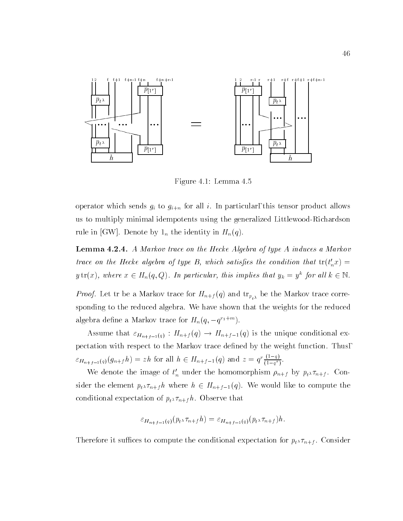

Figure 4.1: Lemma 4.5

operator which sends  $g_i$  to  $g_{i+n}$  for all i. In particular, this tensor product allows us to multiply minimal idempotents using the generalized Littlewood-Richardson rule in [GW]. Denote by  $1_n$  the identity in  $H_n(q)$ .

**Lemma 4.2.4.** A markov trace on the Hecke Algebra of type A induces a markov trace on the Hecke algebra of type B, which satisfies the condition that  $\mathrm{tr}(\iota_n x) = \ell_n x$ y  $\text{tr}(x)$ , where  $x \in H_n(q, Q)$ . In particular, this implies that  $y_k = y$  for all  $\kappa \in \mathbb{N}$ .

 $P_t \lambda$  and trace for  $P_t \lambda$ sponding to the reduced algebra. We have shown that the weights for the reduced algebra define a Markov trace for  $H_n(q,-q^{n+m})$ .

Assume that  $\varepsilon_{H_{n+f-1}(q)} : H_{n+f}(q) \to H_{n+f-1}(q)$  is the unique conditional expectation with respect to the Markov trace dened by the weight function. Thus,  $\epsilon_{H_{n+f-1}(q)}(g_{n+f}h) = zh$  for all  $h \in H_{n+f-1}(q)$  and  $z = q' \frac{(-1)}{(1-q^r)}$ .

We denote the image of  $t_n$  under the homomorphism  $\rho_{n+f}$  by  $p_t \lambda \tau_{n+f}$ . Consider the element  $p_{t}$ ,  $\tau_{n+f}$  where  $h \in H_{n+f-1}(q)$ . We would like to compute the conditional expectation of  $p_{t} \times \tau_{n+f} h$ . Observe that

$$
\varepsilon_{H_{n+f-1}(q)}(p_{t^{\lambda}}\tau_{n+f}h)=\varepsilon_{H_{n+f-1}(q)}(p_{t^{\lambda}}\tau_{n+f})h.
$$

Therefore it suffices to compute the conditional expectation for  $p_t \lambda \tau_{n+f}$ . Consider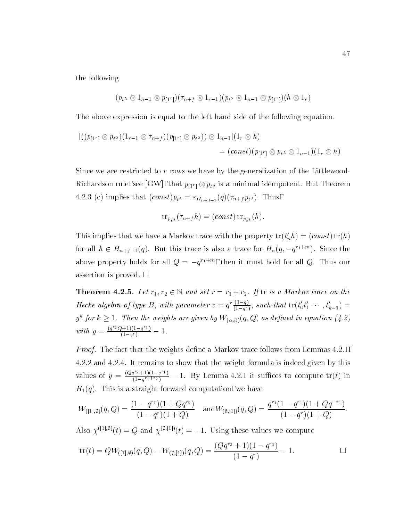the following

$$
(p_{t^{\lambda}} \otimes 1_{n-1} \otimes p_{[1^r]})(\tau_{n+f} \otimes 1_{r-1})(p_{t^{\lambda}} \otimes 1_{n-1} \otimes p_{[1^r]})(h \otimes 1_r)
$$

The above expression is equal to the left hand side of the following equation.

$$
\begin{aligned} [((p_{[1^r]}\otimes p_{t^{\lambda}})(1_{r-1}\otimes \tau_{n+f})(p_{[1^r]}\otimes p_{t^{\lambda}}))\otimes 1_{n-1}](1_r\otimes h) \\ &= (const)(p_{[1^r]}\otimes p_{t^{\lambda}}\otimes 1_{n-1})(1_r\otimes h) \end{aligned}
$$

Since we are restricted to  $r$  rows we have by the generalization of the Littlewoodrequirement rule, see [GW], that  $p[1] \circ p[n]$  is a minimal idempotent. But Theorem 4.2.3 (c) implies that  $(const)p_{t^{\lambda}} = \varepsilon_{H_{n+f-1}}(q)(\tau_{n+f} p_{t^{\lambda}}).$  Thus,

$$
\operatorname{tr}_{p_{t\lambda}}(\tau_{n+f}h)=(const)\operatorname{tr}_{p_{t\lambda}}(h).
$$

I his implies that we have a Markov trace with the property  $tr(t_n n) = (const) tr(n)$ for all  $n \in H_{n+f-1}(q)$ . But this trace is also a trace for  $H_n(q,-q^{r+m})$ . Since the above property holds for all  $Q = -q^{n+m}$ , then it must hold for all  $Q$ . Thus our assertion is proved.  $\square$ 

**THEOREM 4.2.5.** Let  $r_1, r_2 \in \mathbb{N}$  and set  $r = r_1 + r_2$ . If it is a markov trace on the Hecke algebra of type B, with parameter  $z = q' \frac{1}{(1-q')},$  such that  $\mathrm{tr}(t_0't_1' \cdots, t_{k-1}') =$ y ( jor  $\kappa\geq 1$  . Then the weights are given by  $W_{(\alpha,\beta)}(q,Q)$  as defined in equation (4.2)  $$ with  $y = \frac{(q^2-2q+1)(1-q^{r-1})}{(1-q^r)} - 1$ .

*Proof.* The fact that the weights define a Markov trace follows from Lemmas  $4.2.1$ , 4.2.2 and 4.2.4. It remains to show that the weight formula is indeed given by this values of  $y = \frac{(Qq^{r_2}+1)(1-q^{r_1})}{(1-q^{r_1+r_2})} - 1$ . By Lemma 4.2.1 it suffices to compute  $tr(t)$  in  $H_1(q)$ . This is a straight forward computation, we have

$$
W_{([1],\emptyset)}(q,Q) = \frac{(1-q^{r_1})(1+Qq^{r_2})}{(1-q^r)(1+Q)} \quad \text{and} \quad W_{(\emptyset,[1])}(q,Q) = \frac{q^{r_1}(1-q^{r_1})(1+Qq^{-r_1})}{(1-q^r)(1+Q)}.
$$

Also  $\chi^{([1], \emptyset)}(t) = Q$  and  $\chi^{(\emptyset, [1])}(t) = -1$ . Using these values we compute

$$
\text{tr}(t) = QW_{([1],\emptyset)}(q,Q) - W_{(\emptyset,[1])}(q,Q) = \frac{(Qq^{r_2} + 1)(1 - q^{r_1})}{(1 - q^r)} - 1.
$$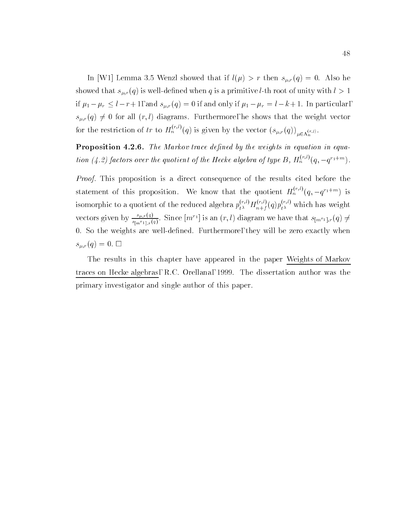In [W1] Lemma 3.5 Wenzl showed that if  $l(\mu) > r$  then  $s_{\mu,r}(q) = 0$ . Also he showed that  $s_{\mu,r}(q)$  is well-defined when q is a primitive *l*-th root of unity with  $l > 1$ if  $\mu_1 - \mu_r \leq l - r + 1$ , and  $s_{\mu,r}(q) = 0$  if and only if  $\mu_1 - \mu_r = l - k + 1$ . In particular,  $s_{\mu,r}(q) \neq 0$  for all  $(r, l)$  diagrams. Furthermore, he shows that the weight vector for the restriction of  $tr$  to  $H_n^{\times, \vee}(q)$  is given by the vector  $(s_{\mu, r}(q))_{\mu \in \Lambda_n^{(r,l)}}.$ 

**I** formulate  $\mathbf{F}$  . The markov trace achieve by the weights in equation in equation (4.2) factors over the quotient of the Hecke algebra of type B,  $H_n^{\gamma,\gamma,\gamma}(q,-q^{r_1+m}).$ 

Proof. This proposition is a direct consequence of the results cited before the statement of this proposition. We know that the quotient  $H_n^{(r,\prime\prime)}(q,-q^{\prime 1+m})$  is isomorphic to a quotient of the reduced algebra  $p_{t^{\lambda}}^{(s_1)} H_{n+f}^{(s_2)}(q) p_{t^{\lambda}}^{(s_3)}$  which has weight vectors given by  $\frac{\text{var}(q)}{\text{var}(q)}$ .  $\frac{s_{[m^r1],r}(q)}{s_{[m^r1],r}(q)}$ . Since  $[m^r]$  is an  $(r,t)$  diagram we have that  $s_{[m^r1],r}(q) \neq 0$ 0. So the weights are well-defined. Furthermore, they will be zero exactly when  $s_{\mu,r}(q) = 0. \ \Box$ 

The results in this chapter have appeared in the paper Weights of Markov traces on Hecke algebras, R.C. Orellana, 1999. The dissertation author was the primary investigator and single author of this paper.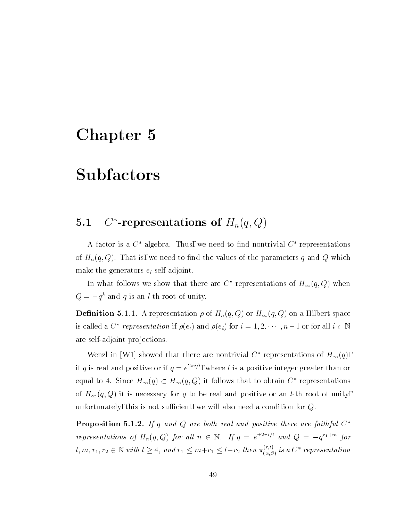### Chapter 5

### Subfactors

### 5.1 $C^*$ -representations of  $H_n(q,Q)$

A factor is a  $\cup$  -algebra. Thus, we need to find nontrivial  $\cup$  -representations of  $H_n(q, Q)$ . That is, we need to find the values of the parameters q and Q which make the generators  $e_i$  self-adjoint.

In what follows we show that there are  $C^*$  representations of  $H_{\infty}(q,Q)$  when  $Q = -q$  and q is an *t*-th root of unity.

**Definition 0.1.1.** A representation  $p$  or  $H_n(q, Q)$  or  $H_{\infty}(q, Q)$  on a Hilbert space is called a  $C^*$  representation if  $\rho(e_t)$  and  $\rho(e_i)$  for  $i = 1, 2, \cdots, n-1$  or for all  $i \in \mathbb{N}$ are self-adjoint projections.

Wenzl in [W1] showed that there are nontrivial  $C^*$  representations of  $H_{\infty}(q)$ , If q is real and positive or II  $q = e^{-i\gamma t}$ , where l is a positive integer greater than or equal to 4. Since  $H_{\infty}(q) \subset H_{\infty}(q,Q)$  it follows that to obtain  $C^*$  representations of  $H_{\infty}(q,Q)$  it is necessary for q to be real and positive or an *l*-th root of unity, unfortunately, this is not sufficient, we will also need a condition for  $Q$ .

**Proposition 5.1.4.** If q and  $Q$  are both real and positive there are faithful  $Q$ representations of  $H_n(q,Q)$  for all  $n \in \mathbb{N}$ . If  $q = e^{2i(n-p)}$  and  $Q = -q^{n+m}$  for  $l, m, r_1, r_2 \in \mathbb{N}$  with  $l \geq 4$ , and  $r_1 \leq m+r_1 \leq l-r_2$  then  $\pi_{(\alpha,\beta)}^{( \gamma,\gamma)}$  is a  $C^*$  representation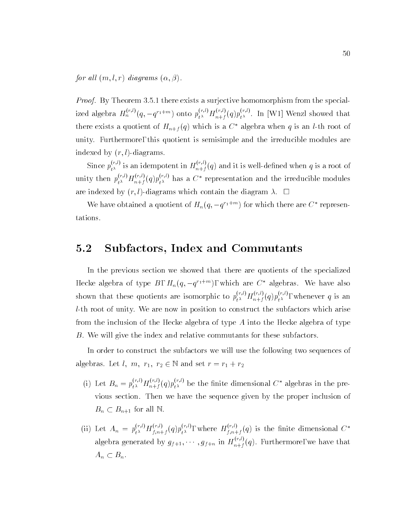for all  $(m, l, r)$  diagrams  $(\alpha, \beta)$ .

*Proof.* By Theorem 3.5.1 there exists a surjective homomorphism from the specialized algebra  $H_n^{\gamma,\gamma}(q,-q^{i_1+m})$  onto  $p_{t\lambda}^{\gamma,\gamma}H_{n+f}^{\gamma}(q)p_{t\lambda}^{\gamma,\gamma}$ . In [W1] Wenzl showed that there exists a quotient of  $H_{n+f}(q)$  which is a  $C^*$  algebra when q is an *l*-th root of unity. Furthermore, this quotient is semisimple and the irreducible modules are indexed by  $(r, l)$ -diagrams.

Since  $p_{t\lambda}^{(\gamma,\gamma)}$  is an idempotent in  $H_{n+f}^{(\gamma)}(q)$  and it is well-defined when q is a root of unity then  $p_{t^{\lambda}}^{(n)} H_{n+f}^{(n)}(q) p_{t^{\lambda}}^{(n)}$  has a  $C^*$  representation and the irreducible modules are indexed by  $(r, l)$ -diagrams which contain the diagram  $\lambda$ .  $\Box$ 

We have obtained a quotient of  $H_n(q, -q^{n+m})$  for which there are C representations.

#### 5.2Subfactors, Index and Commutants

In the previous section we showed that there are quotients of the specialized Hecke algebra of type  $B, H_n(q, -q^{n+m})$ , which are  $C$  algebras. We have also shown that these quotients are isomorphic to  $p_{t^{\lambda}}^{(\cdot,\cdot)}H_{n+f}^{(\cdot,\cdot)}(q)p_{t^{\lambda}}^{(\cdot,\cdot)},$  whenever  $q$  is an l-th root of unity. We are now in position to construct the subfactors which arise from the inclusion of the Hecke algebra of type  $A$  into the Hecke algebra of type B. We will give the index and relative commutants for these subfactors.

In order to construct the subfactors we will use the following two sequences of algebras. Let  $l, m, r_1, r_2 \in \mathbb{N}$  and set  $r = r_1 + r_2$ 

- (1) Let  $B_n = p_{t\lambda}^{N,T} H_{n+f}^{N,T}(q) p_{t\lambda}^{N,T}$  be the finite dimensional  $C^*$  algebras in the previous section. Then we have the sequence given by the proper inclusion of  $B_n \subset B_{n+1}$  for all N.
- (ii) Let  $A_n = p_{t^{\lambda}}^{N} H_{f, n+f}^{\gamma}(q) p_{t^{\lambda}}^{N}$ , where  $H_{f, n+f}^{\gamma}(q)$  is the finite dimensional  $C^*$ algebra generated by  $g_{f+1}, \cdots, g_{f+n}$  in  $H_{n+f}^{(w)}(q)$ . Furthermore, we have that  $A_n \subset B_n$ .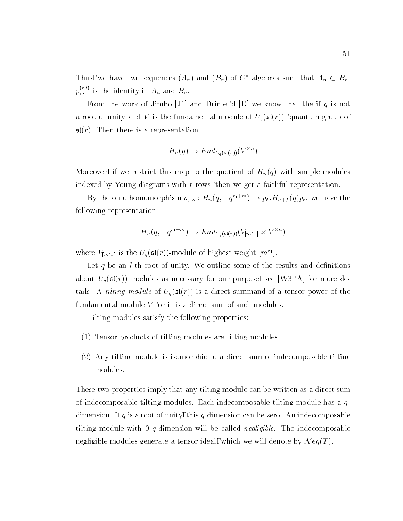Thus, we have two sequences  $(A_n)$  and  $(B_n)$  of  $C^*$  algebras such that  $A_n \subset B_n$ .  $p_{t^{\lambda}}^{(s,\nu)}$  is the identity in  $A_n$  and  $B_n.$ 

From the work of Jimbo [J1] and Drinfel'd [D] we know that the if  $q$  is not a root of unity and V is the fundamental module of  $U_q(\mathfrak{sl}(r))$ , quantum group of  $\mathfrak{sl}(r)$ . Then there is a representation

$$
H_n(q) \to End_{U_q(\mathfrak{sl}(r))}(V^{\otimes n})
$$

Moreover, if we restrict this map to the quotient of  $H_n(q)$  with simple modules indexed by Young diagrams with  $r$  rows, then we get a faithful representation.

By the onto homomorphism  $\rho_{f,n}: H_n(q, -q^{r+m}) \to p_{t^{\lambda}} H_{n+f}(q) p_{t^{\lambda}}$  we have the following representation

$$
H_n(q,-q^{r_1+m})\to End_{U_q(\mathfrak{sl}(r))}(V_{[m^{r_1}]}\otimes V^{\otimes n})
$$

where  $V_{[m^{r_1}]}$  is the  $U_q(\mathfrak{sl}(r))$ -module of highest weight  $[m^{\prime\,+}]$ .

Let q be an *l*-th root of unity. We outline some of the results and definitions about  $U_q(\mathfrak{sl}(r))$  modules as necessary for our purpose, see [W3, A] for more details. A *tilting module* of  $U_q(\mathfrak{sl}(r))$  is a direct summand of a tensor power of the fundamental module  $V$ , or it is a direct sum of such modules.

Tilting modules satisfy the following properties:

- (1) Tensor products of tilting modules are tilting modules.
- (2) Any tilting module is isomorphic to a direct sum of indecomposable tilting modules.

These two properties imply that any tilting module can be written as a direct sum of indecomposable tilting modules. Each indecomposable tilting module has a  $q$ dimension. If q is a root of unity, this q-dimension can be zero. An indecomposable tilting module with 0 q-dimension will be called *negligible*. The indecomposable negligible modules generate a tensor ideal, which we will denote by  $Neg(T)$ .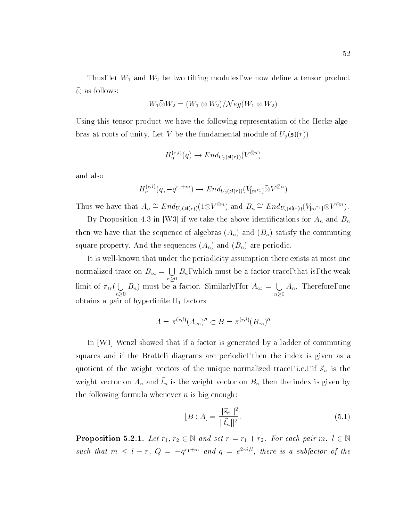Thus, let  $W_1$  and  $W_2$  be two tilting modules, we now define a tensor product  $\heartsuit$  as follows:

$$
W_1\bar{\otimes}W_2=(W_1\otimes W_2)/\mathcal{N}eg(W_1\otimes W_2)
$$

Using this tensor product we have the following representation of the Hecke algebras at roots of unity. Let V be the fundamental module of  $U_q(\mathfrak{sl}(r))$ 

$$
H_n^{(r,l)}(q) \to End_{U_q(\mathfrak{sl}(r))}(V^{\otimes n})
$$

and also

$$
H_n^{(r,l)}(q, -q^{r_1+m}) \to End_{U_q(\mathfrak{sl}(r))}(V_{[m^{r_1}]}\bar{\otimes} V^{\bar{\otimes} n})
$$

Thus we have that  $A_n \cong End_{U_q(\mathfrak{sl}(r))}(1 \otimes V^{\otimes n})$  and  $B_n \cong End_{U_q(\mathfrak{sl}(r))}(V_{\lfloor m^{r_1}1 \rfloor} \otimes V^{\otimes n})$ .

By Proposition 4.3 in [W3] if we take the above identifications for  $A_n$  and  $B_n$ then we have that the sequence of algebras  $(A_n)$  and  $(B_n)$  satisfy the commuting square property. And the sequences  $(A_n)$  and  $(B_n)$  are periodic.

It is well-known that under the periodicity assumption there exists at most one normalized trace on  $B_{\infty} = \cup B_n$ , w . . . .  $\mu$ , which must be a factor trace, the weak is, the weak is, the weak is, the weak is, the weak is, the weak is, the weak is, the weak is, the weak is, the weak is, the weak is of the weak is, the weak is of the weak is limit of  $\pi_{tr}(\cup B_n)$  r . . . .  $B_n$ ) must be a factor. Similarly, for  $A_\infty = \bigcup A_n$ . n0  $\mathcal{L} = \{t\}$  . Therefore, one one one of  $\mathcal{L} = \{t\}$ obtains a pair of hyperfinite  $II_1$  factors

$$
A = \pi^{(r,l)}(A_{\infty})'' \subset B = \pi^{(r,l)}(B_{\infty})''
$$

In [W1] Wenzl showed that if a factor is generated by a ladder of commuting squares and if the Bratteli diagrams are periodic, then the index is given as a quotient of the weight vectors of the unique normalized trace, i.e., if  $\vec{s}_n$  is the weight vector on  $A_n$  and  $\vec{t}_n$  is the weight vector on  $B_n$  then the index is given by the following formula whenever  $n$  is big enough:

$$
[B : A] = \frac{||\vec{s}_n||^2}{||\vec{t}_n||^2}.
$$
\n(5.1)

**Proposition 5.2.1.** Let  $r_1, r_2 \in \mathbb{N}$  and set  $r = r_1 + r_2$ . For each pair  $m, r \in \mathbb{N}$ such that  $m \, \leq \, i \, - \, r$ ,  $Q \, = \, -q^{i_1 + \cdots +}$  and  $q \, = \, e^{ - \cdots / \, r}$ , there is a subfactor of the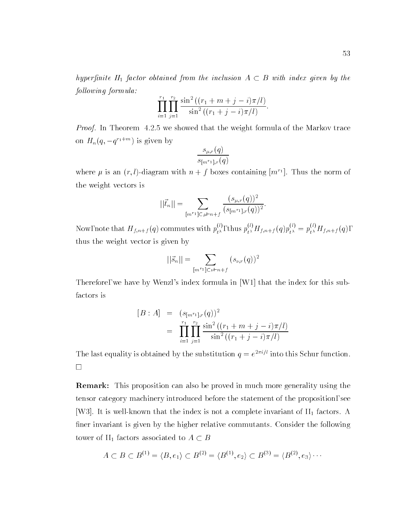hyperfinite  $II_1$  factor obtained from the inclusion  $A \subset B$  with index given by the  $following formula:$ 

$$
\prod_{i=1}^{r_1} \prod_{j=1}^{r_2} \frac{\sin^2((r_1+m+j-i)\pi/l)}{\sin^2((r_1+j-i)\pi/l)}.
$$

Proof. In Theorem 4.2.5 we showed that the weight formula of the Markov trace on  $H_n(q, -q+1)$  is given by

$$
\frac{s_{\mu,r}(q)}{s_{[m^{r_1}],r}(q)}
$$

where  $\mu$  is an  $(r, t)$ -diagram with  $n + j$  boxes containing  $[m+1]$ . Thus the norm of the weight vectors is

$$
||\vec{t}_n|| = \sum_{[m^{r_1}] \subset \mu \vdash n+f} \frac{(s_{\mu,r}(q))^2}{(s_{[m^{r_1}],r}(q))^2}.
$$

Now, note that  $H_{f,n+f}(q)$  commutes with  $p_{t\lambda}^{\lambda}$ , thus  $p_{t\lambda}^{\lambda}H_{f,n+f}(q)p_{t\lambda}^{\lambda}=p_{t\lambda}^{\lambda}H_{f,n+f}(q)$ , thus the weight vector is given by

$$
||\vec{s}_n|| = \sum_{[m^{r_1}] \subset \nu \vdash n+f} (s_{\nu,r}(q))^2
$$

Therefore, we have by Wenzl's index formula in [W1] that the index for this subfactors is

$$
[B : A] = (s_{[m^{r_1}], r}(q))^2
$$
  
= 
$$
\prod_{i=1}^{r_1} \prod_{j=1}^{r_2} \frac{\sin^2 ((r_1 + m + j - i)\pi/l)}{\sin^2 ((r_1 + j - i)\pi/l)}
$$

The last equality is obtained by the substitution  $q = e^{-\gamma t}$  into this Schur function.

Remark: This proposition can also be proved in much more generality using the tensor category machinery introduced before the statement of the proposition, see [W3]. It is well-known that the index is not a complete invariant of  $II_1$  factors. A finer invariant is given by the higher relative commutants. Consider the following tower of II<sub>1</sub> factors associated to  $A \subset B$ 

$$
A \subset B \subset B^{(1)} = \langle B, e_1 \rangle \subset B^{(2)} = \langle B^{(1)}, e_2 \rangle \subset B^{(3)} = \langle B^{(2)}, e_3 \rangle \cdots
$$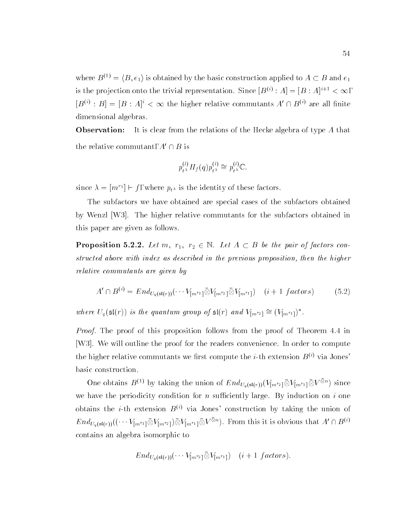where  $B^{(1)} = \langle B, e_1 \rangle$  is obtained by the basic construction applied to  $A \subset B$  and  $e_1$ is the projection onto the trivial representation. Since  $|D^{(i)}:A|=|D:A|^{i+1} \leq \infty$ ,  $|D^{(1)}:B|=|D:A|<\infty$  the higher relative commutants  $A\sqcup B^{(1)}$  are all finite dimensional algebras.

Observation: It is clear from the relations of the Hecke algebra of type A that the relative commutant,  $A' \cap B$  is

$$
p_{t^{\lambda}}^{(l)} H_f(q) p_{t^{\lambda}}^{(l)} \cong p_{t^{\lambda}}^{(l)} \mathbb{C}.
$$

since  $\lambda = |m| \in J$ , where  $p_{t \lambda}$  is the identity of these factors.

The subfactors we have obtained are special cases of the subfactors obtained by Wenzl [W3]. The higher relative commutants for the subfactors obtained in this paper are given as follows.

**Proposition 5.2.2.** Let  $m, r_1, r_2 \in \mathbb{N}$ . Let  $A \subseteq B$  be the pair of factors constructed above with index as described in the previous proposition, then the higher relative commutants are given by

$$
A' \cap B^{(i)} = End_{U_q(\mathfrak{sl}(r))}(\cdots V_{[m^{r_1}]}\bar{\otimes}V_{[m^{r_2}]}\bar{\otimes}V_{[m^{r_1}]}) \quad (i+1\ factors) \tag{5.2}
$$

where  $U_q(\mathfrak{sl}(r))$  is the quantum group of  $\mathfrak{sl}(r)$  and  $V_{\lfloor m^{r_2}\rfloor} \cong (V_{\lfloor m^{r_1} \rfloor})^{\top}$ .

Proof. The proof of this proposition follows from the proof of Theorem 4.4 in [W3]. We will outline the proof for the readers convenience. In order to compute the higher relative commutants we first compute the *i*-th extension  $B^{(i)}$  via Jones' basic construction.

One obtains  $B^{(1)}$  by taking the union of  $End_{U_q(\mathfrak{sl}(r))}(V_{[m^{r_2}]} \otimes V_{[m^{r_1}]} \otimes V^{\otimes n})$  since we have the periodicity condition for  $n$  sufficiently large. By induction on  $i$  one obtains the *i*-th extension  $B^{(i)}$  via Jones' construction by taking the union of  $End_{U_q(\mathfrak{sl}(r))}((\cdots V_{\lceil m^{r_1} \rceil} \otimes V_{\lceil m^{r_2} \rceil}) \otimes V_{\lceil m^{r_1} \rceil} \otimes V^{\otimes n}).$  From this it is obvious that  $A' \cap B^{(*)}$ contains an algebra isomorphic to

$$
End_{U_q(\mathfrak{sl}(r))}(\cdots V_{[m^{r_2}]} \bar{\otimes} V_{[m^{r_1}]}) \quad (i+1~factors).
$$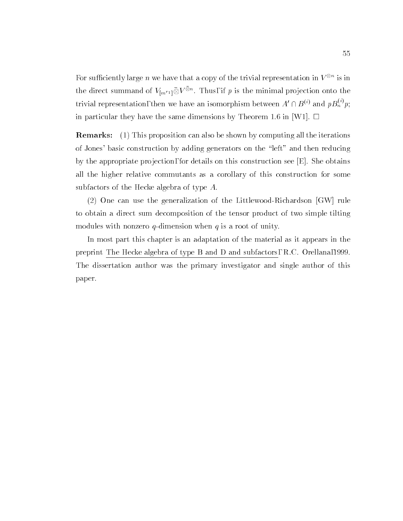For sufficiently large n we have that a copy of the trivial representation in  $V^{\circ\circ}$  is in the direct summand of  $V_{\lfloor m^{r_1}\rfloor} \otimes V^{\otimes n}$  . Thus, if  $p$  is the minimal projection onto the trivial representation, then we have an isomorphism between  $A' \cap B^{(i)}$  and  $pB_n^{(i)} p$ ; in particular they have the same dimensions by Theorem 1.6 in [W1].  $\Box$ 

Remarks: (1) This proposition can also be shown by computing all the iterations of Jones' basic construction by adding generators on the \left" and then reducing by the appropriate projection, for details on this construction see  $[E]$ . She obtains all the higher relative commutants as a corollary of this construction for some subfactors of the Hecke algebra of type  $A.$ 

(2) One can use the generalization of the Littlewood-Richardson [GW] rule to obtain a direct sum decomposition of the tensor product of two simple tilting modules with nonzero  $q$ -dimension when  $q$  is a root of unity.

In most part this chapter is an adaptation of the material as it appears in the preprint The Hecke algebra of type B and D and subfactors, R.C. Orellana,1999. The dissertation author was the primary investigator and single author of this paper.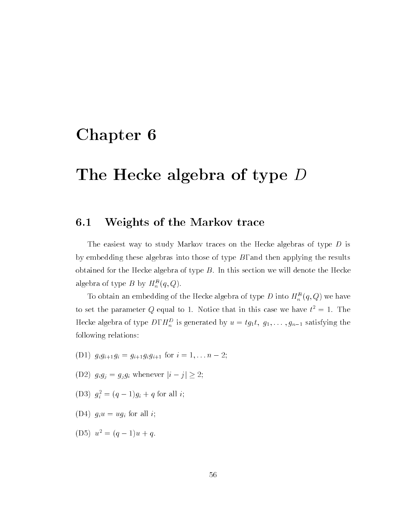### Chapter 6

## The Hecke algebra of type <sup>D</sup>

#### 6.1Weights of the Markov trace

The easiest way to study Markov traces on the Hecke algebras of type D is by embedding these algebras into those of type  $B$ , and then applying the results obtained for the Hecke algebra of type  $B$ . In this section we will denote the Hecke algebra of type  $D$  by  $H_n^-(q,Q)$ .

To obtain an embedding of the Hecke algebra of type D into  $H_n$   $(q, Q)$  we have to set the parameter  $Q$  equal to 1. Notice that in this case we have  $t^-=1$ . The Hecke algebra of type  $D, H_n^-$  is generated by  $u = \iota g_1 \iota, g_1, \ldots, g_{n-1}$  satisfying the following relations:

- (D1)  $g_i g_{i+1} g_i = g_{i+1} g_i g_{i+1}$  for  $i = 1, \ldots n-2$ ;
- (D2)  $g_i g_j = g_j g_i$  whenever  $|i j| \geq 2;$
- (D3)  $g_i^2 = (q-1)g_i + q$  for all i;
- (D4)  $g_i u = u g_i$  for all *i*;
- (D5)  $u^2 = (q-1)u + q$ .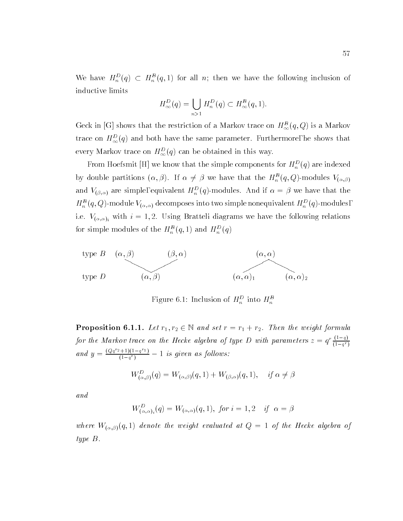We have  $H_n^{\pi}(q) \subset H_n^{\pi}(q,1)$  for all n; then we have the following inclusion of inductive limits

$$
H_{\infty}^{D}(q) = \bigcup_{n>1} H_{n}^{D}(q) \subset H_{\infty}^{B}(q, 1).
$$

Geck in [G] shows that the restriction of a Markov trace on  $H_{\infty}^{B}(q, Q)$  is a Markov trace on  $H_{\infty}^{D}(q)$  and both have the same parameter. Furthermore, he shows that every Markov trace on  $H_{\infty}^{D}(q)$  can be obtained in this way.

From Hoefsmit  $[\Pi]$  we know that the simple components for  $H_n(Q)$  are indexed by double partitions  $(\alpha, \beta)$ . If  $\alpha \neq \beta$  we have that the  $H_n^-(q, Q)$ -modules  $V_{(\alpha, \beta)}$ and  $V(\beta,\alpha)$  are simple, equivalent  $H_n^-(q)$ -modules. And if  $\alpha = \beta$  we have that the  $H_n^{-}(q,\overline{Q})$ -module  $V_{(\alpha,\alpha)}$  decomposes into two simple nonequivalent  $H_n^{-}(q)$ -modules, i.e.  $V_{(\alpha,\alpha)}$  with  $i = 1,2$ . Using Bratteli diagrams we have the following relations for simple modules of the  $H_n^-(q, 1)$  and  $H_n^-(q)$ 



r igure 6.1: Inclusion of  $H_n^-$  into  $H_n^-$ 

**Proposition 6.1.1.** Let  $r_1, r_2 \in \mathbb{N}$  and set  $r = r_1 + r_2$ . Then the weight formula for the Markov trace on the Hecke algebra of type D with parameters  $z = q' \frac{(-1-q^2)}{(1-q^2)}$ and  $y = \frac{(Qq^2+1)(1-q^{r_1})}{(1-q^r)} - 1$  is given as follows:

$$
W^D_{(\alpha,\beta)}(q) = W_{(\alpha,\beta)}(q,1) + W_{(\beta,\alpha)}(q,1), \quad \text{if } \alpha \neq \beta
$$

and

$$
W^D_{(\alpha,\alpha)_i}(q) = W_{(\alpha,\alpha)}(q,1), \text{ for } i = 1,2 \quad \text{if } \alpha = \beta
$$

where  $W_{(\alpha,\beta)}(q,1)$  denote the weight evaluated at  $Q=1$  of the Hecke algebra of type B.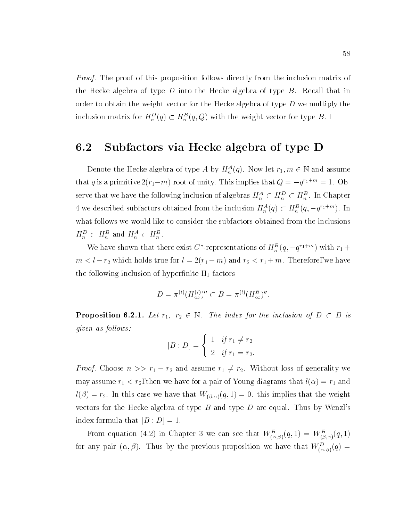*Proof.* The proof of this proposition follows directly from the inclusion matrix of the Hecke algebra of type D into the Hecke algebra of type  $B$ . Recall that in order to obtain the weight vector for the Hecke algebra of type  $D$  we multiply the inclusion matrix for  $H_n^{-}(q) \subset H_n^{-}(q, Q)$  with the weight vector for type  $D$ .  $\Box$ 

#### 6.2Subfactors via Hecke algebra of type D

Denote the Hecke algebra of type A by  $H_n^{\{-\}}(q)$ . Now let  $r_1, m \in \mathbb{N}$  and assume that q is a primitive  $2(r_1+m)$ -root of unity. This implies that  $Q = -q^{r_1+m} = 1$ . Observe that we have the following inclusion of algebras  $H_n^{\perp} \subset H_n^{\perp} \subset H_n^{\perp}$  . In Chapter 4 we described subfactors obtained from the inclusion  $H_n^{\circ} (q) \subset H_n^{\circ} (q, -q^{\gamma_1 + \cdots})$ . In what follows we would like to consider the subfactors obtained from the inclusions  $H_n^- \subset H_n^-$  and  $H_n^- \subset H_n^-$ .

We have shown that there exist C -representations of  $H_n^-(q,-q^{(1+m)})$  with  $r_1 +$ measure for a second true for the form  $\alpha$  , we have for  $\alpha$  and  $\alpha$  and  $\alpha$  is the form of  $\alpha$  and  $\alpha$ the following inclusion of hyperfinite  $II_1$  factors

$$
D = \pi^{(l)}(H_{\infty}^{(l)})'' \subset B = \pi^{(l)}(H_{\infty}^B)''.
$$

**Proposition 6.2.1.** Let  $r_1$ ,  $r_2 \in \mathbb{N}$ . The index for the inclusion of  $D \subset D$  is given as follows:

$$
[B : D] = \begin{cases} 1 & \text{if } r_1 \neq r_2 \\ 2 & \text{if } r_1 = r_2. \end{cases}
$$

*Proof.* Choose  $n >> r_1 + r_2$  and assume  $r_1 \neq r_2$ . Without loss of generality we may assume  $r_1 < r_2$ , then we have for a pair of Young diagrams that  $l(\alpha) = r_1$  and  $l(\beta) = r_2$ . In this case we have that  $W_{(\beta,\alpha)}(q,1) = 0$ . this implies that the weight vectors for the Hecke algebra of type  $B$  and type  $D$  are equal. Thus by Wenzl's index formula that  $[B : D] = 1$ .

From equation (4.2) in Chapter 3 we can see that  $W_{(\alpha,\beta)}(q,1) = W_{(\beta,\alpha)}(q,1)$ for any pair  $(\alpha, \beta)$ . Thus by the previous proposition we have that  $W_{(\alpha,\beta)}(q) =$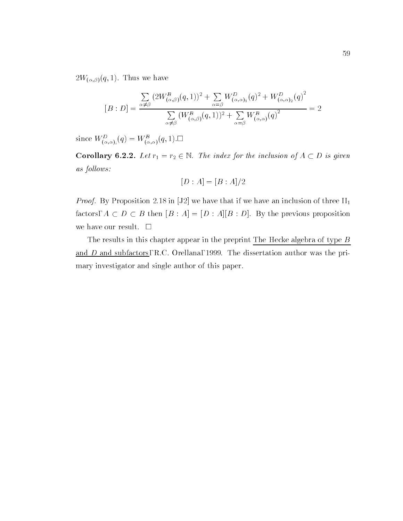$2W_{(\alpha,\beta)}(q,1)$ . Thus we have

$$
[B:D] = \frac{\sum_{\alpha \neq \beta} (2W_{(\alpha,\beta)}^B(q,1))^2 + \sum_{\alpha = \beta} W_{(\alpha,\alpha)_1}^D(q)^2 + W_{(\alpha,\alpha)_2}^D(q)^2}{\sum_{\alpha \neq \beta} (W_{(\alpha,\beta)}^B(q,1))^2 + \sum_{\alpha = \beta} W_{(\alpha,\alpha)}^B(q)^2} = 2
$$

since  $W_{(\alpha,\alpha)i}(q) = W_{(\alpha,\alpha)}(q,1)$ .

Corollary 6.2.2. Let  $r_1 = r_2 \in \mathbb{N}$ . The index for the inclusion of  $A \subset D$  is given as follows:

$$
[D:A] = [B:A]/2
$$

*Proof.* By Proposition 2.18 in [J2] we have that if we have an inclusion of three  $II_1$ factors, A <sup>D</sup> <sup>B</sup> then [B : A]=[D : A][B : D]. By the previous proposition we have our result.  $\square$ 

The results in this chapter appear in the preprint The Hecke algebra of type  $B$ and D and subfactors, R.C. Orellana, 1999. The dissertation author was the primary investigator and single author of this paper.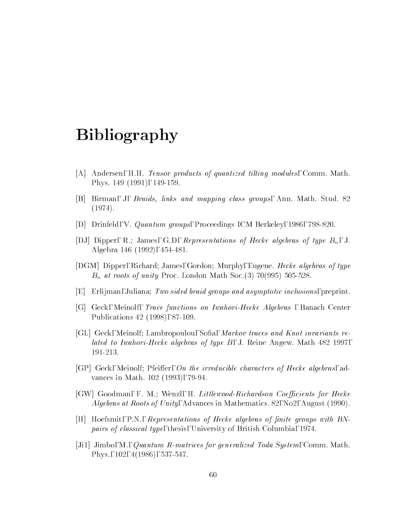### Bibliography

- [A] Andersen, H.H. Tensor products of quantized tilting modules, Comm. Math. Phys. 149 (1991), 149-159.
- [B] Birman, J, Braids, links and mapping class groups, Ann. Math. Stud. 82 (1974).
- [D] Drinfeld, V. Quantum groups, Proceedings ICM Berkeley, 1986, 798-820.
- [DJ] Dipper, R.; James, G.D., Representations of Hecke algebras of type  $B_n$ , J. Algebra 146 (1992), 454-481.
- [DGM] Dipper, Richard; James, Gordon; Murphy, Eugene. Hecke algebras of type  $B_n$  at roots of unity Proc. London Math Soc.(3) 70(995) 505-528.
- $|E|$  Erlijman, Juliana; Two sided braid groups and asymptotic inclusions, preprint.
- [G] Geck, Meinolf, Trace functions on Iwahori-Hecke Algebras , Banach Center Publications 42 (1998), 87-109.
- [GL] Geck, Meinolf; Lambropoulou, Sofia, *Markov traces and Knot invariants re*lated to Iwahori-Hecke algebras of type B, J. Reine Angew. Math 482 1997, 191-213.
- [GP] Geck, Meinolf; Pfeiffer, On the irreducible characters of Hecke algebras, advances in Math. 102 (1993), 79-94.
- [GW] Goodman, F. M.; Wenzl, H. Littlewood-Richardson Coefficients for Hecke Algebras at Roots of Unity, Advances in Mathematics. 82, No2, August (1990).
- [H] Hoefsmit, P.N., Representations of Hecke algebras of nite groups with BNpairs of classical type, thesis, University of British Columbia, 1974.
- [Ji1] Jimbo, M., Quantum R-matrices for generalized Toda System, Comm. Math. Phys., 102, 4(1986), 537-547.